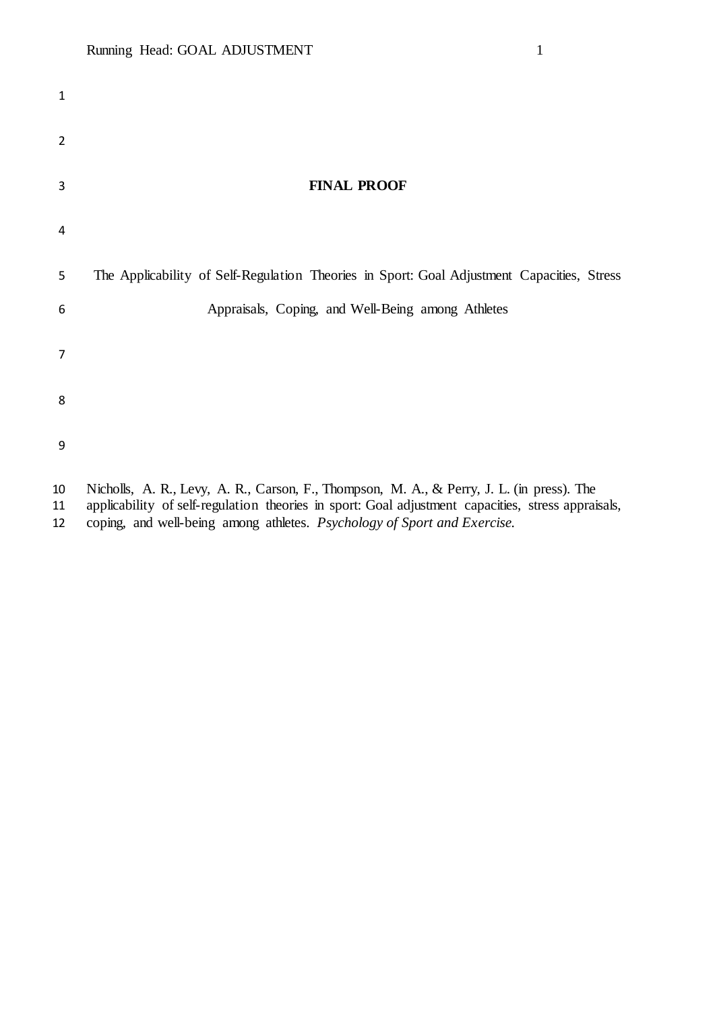| $\mathbf{1}$   |                                                                                                    |
|----------------|----------------------------------------------------------------------------------------------------|
| $\overline{2}$ |                                                                                                    |
| 3              | <b>FINAL PROOF</b>                                                                                 |
| 4              |                                                                                                    |
| 5              | The Applicability of Self-Regulation Theories in Sport: Goal Adjustment Capacities, Stress         |
| 6              | Appraisals, Coping, and Well-Being among Athletes                                                  |
| 7              |                                                                                                    |
| 8              |                                                                                                    |
| 9              |                                                                                                    |
| 10             | Nicholls, A. R., Levy, A. R., Carson, F., Thompson, M. A., & Perry, J. L. (in press). The          |
| 11             | applicability of self-regulation theories in sport: Goal adjustment capacities, stress appraisals, |
| 12             | coping, and well-being among athletes. Psychology of Sport and Exercise.                           |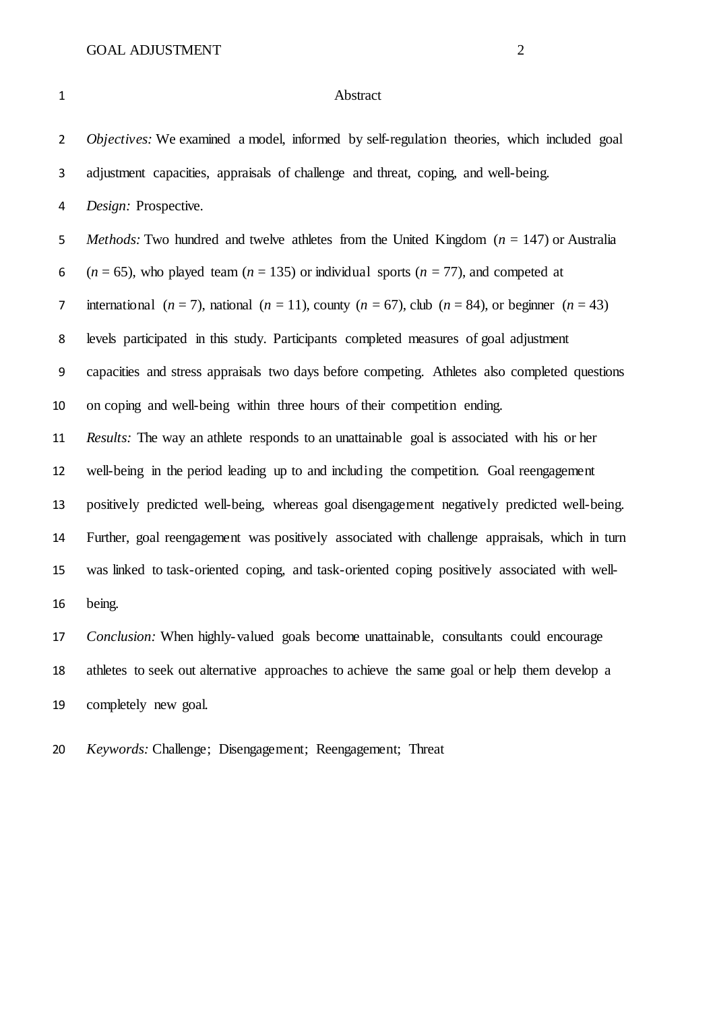#### Abstract

 *Objectives:* We examined a model, informed by self-regulation theories, which included goal adjustment capacities, appraisals of challenge and threat, coping, and well-being. *Design:* Prospective. *Methods:* Two hundred and twelve athletes from the United Kingdom (*n =* 147) or Australia 6 ( $n = 65$ ), who played team ( $n = 135$ ) or individual sports ( $n = 77$ ), and competed at 7 international  $(n = 7)$ , national  $(n = 11)$ , county  $(n = 67)$ , club  $(n = 84)$ , or beginner  $(n = 43)$  levels participated in this study. Participants completed measures of goal adjustment capacities and stress appraisals two days before competing. Athletes also completed questions on coping and well-being within three hours of their competition ending. *Results:* The way an athlete responds to an unattainable goal is associated with his or her well-being in the period leading up to and including the competition. Goal reengagement positively predicted well-being, whereas goal disengagement negatively predicted well-being. Further, goal reengagement was positively associated with challenge appraisals, which in turn was linked to task-oriented coping, and task-oriented coping positively associated with well- being. *Conclusion:* When highly-valued goals become unattainable, consultants could encourage

 athletes to seek out alternative approaches to achieve the same goal or help them develop a completely new goal.

*Keywords:* Challenge; Disengagement; Reengagement; Threat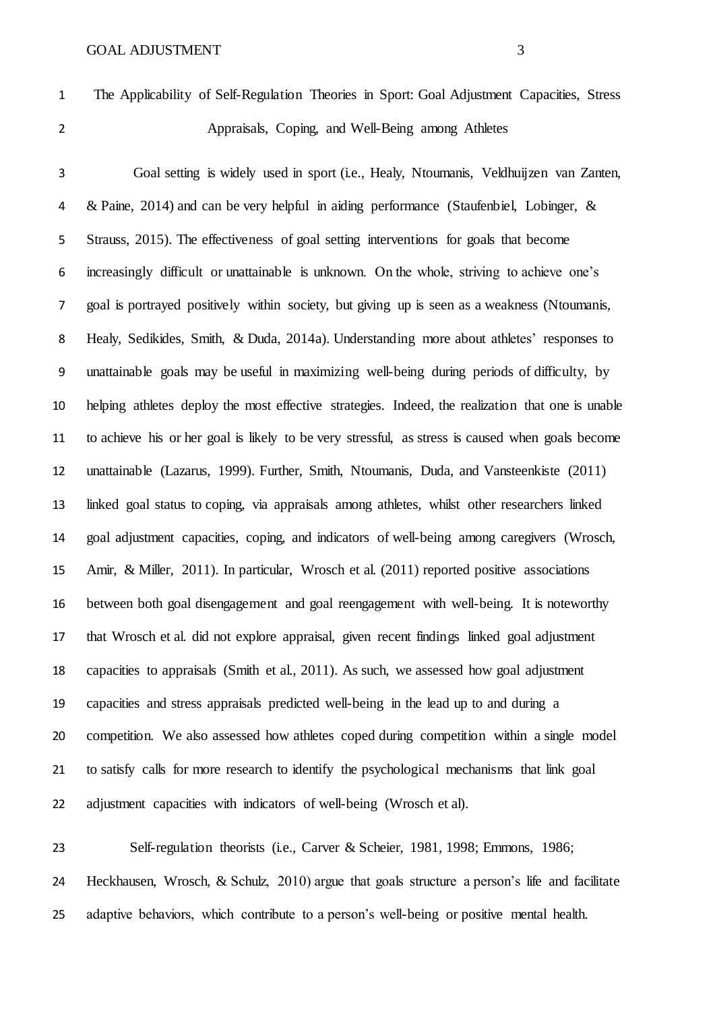The Applicability of Self-Regulation Theories in Sport: Goal Adjustment Capacities, Stress Appraisals, Coping, and Well-Being among Athletes

 Goal setting is widely used in sport (i.e., Healy, Ntoumanis, Veldhuijzen van Zanten, & Paine, 2014) and can be very helpful in aiding performance (Staufenbiel, Lobinger, & Strauss, 2015). The effectiveness of goal setting interventions for goals that become increasingly difficult or unattainable is unknown. On the whole, striving to achieve one's goal is portrayed positively within society, but giving up is seen as a weakness (Ntoumanis, Healy, Sedikides, Smith, & Duda, 2014a). Understanding more about athletes' responses to unattainable goals may be useful in maximizing well-being during periods of difficulty, by helping athletes deploy the most effective strategies. Indeed, the realization that one is unable to achieve his or her goal is likely to be very stressful, as stress is caused when goals become unattainable (Lazarus, 1999). Further, Smith, Ntoumanis, Duda, and Vansteenkiste (2011) linked goal status to coping, via appraisals among athletes, whilst other researchers linked goal adjustment capacities, coping, and indicators of well-being among caregivers (Wrosch, Amir, & Miller, 2011). In particular, Wrosch et al. (2011) reported positive associations between both goal disengagement and goal reengagement with well-being. It is noteworthy that Wrosch et al. did not explore appraisal, given recent findings linked goal adjustment capacities to appraisals (Smith et al., 2011). As such, we assessed how goal adjustment capacities and stress appraisals predicted well-being in the lead up to and during a competition. We also assessed how athletes coped during competition within a single model to satisfy calls for more research to identify the psychological mechanisms that link goal adjustment capacities with indicators of well-being (Wrosch et al).

23 Self-regulation theorists (i.e., Carver & Scheier, 1981, 1998; Emmons, 1986; Heckhausen, Wrosch, & Schulz, 2010) argue that goals structure a person's life and facilitate adaptive behaviors, which contribute to a person's well-being or positive mental health.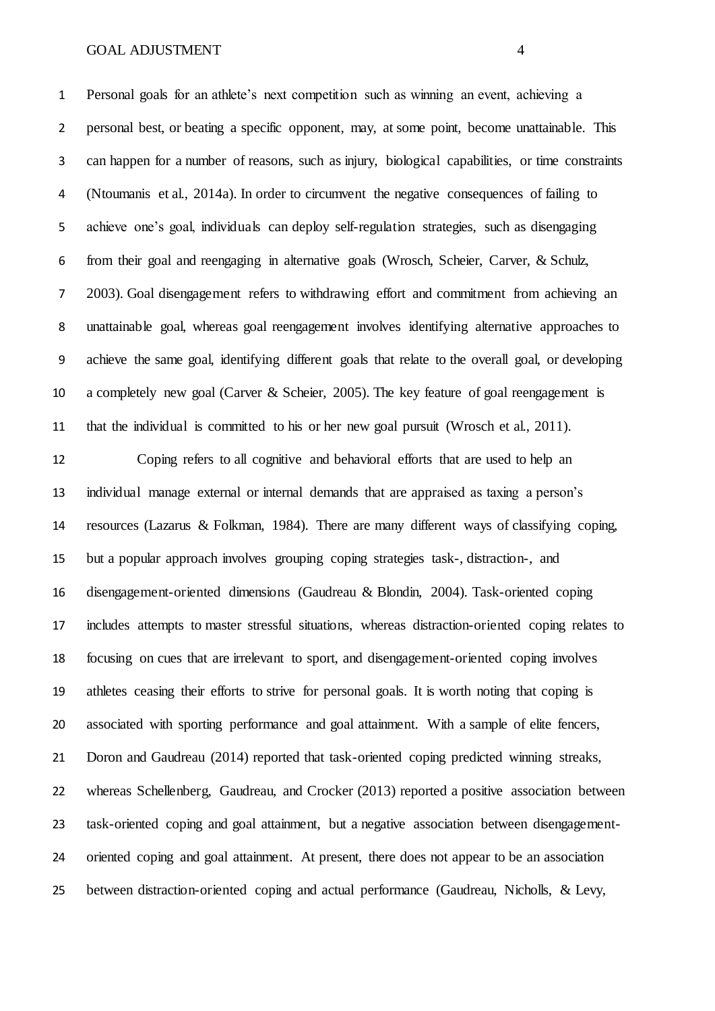Personal goals for an athlete's next competition such as winning an event, achieving a personal best, or beating a specific opponent, may, at some point, become unattainable. This can happen for a number of reasons, such as injury, biological capabilities, or time constraints (Ntoumanis et al., 2014a). In order to circumvent the negative consequences of failing to achieve one's goal, individuals can deploy self-regulation strategies, such as disengaging from their goal and reengaging in alternative goals (Wrosch, Scheier, Carver, & Schulz, 2003). Goal disengagement refers to withdrawing effort and commitment from achieving an unattainable goal, whereas goal reengagement involves identifying alternative approaches to achieve the same goal, identifying different goals that relate to the overall goal, or developing a completely new goal (Carver & Scheier, 2005). The key feature of goal reengagement is that the individual is committed to his or her new goal pursuit (Wrosch et al., 2011).

 Coping refers to all cognitive and behavioral efforts that are used to help an individual manage external or internal demands that are appraised as taxing a person's resources (Lazarus & Folkman, 1984). There are many different ways of classifying coping, but a popular approach involves grouping coping strategies task-, distraction-, and disengagement-oriented dimensions (Gaudreau & Blondin, 2004). Task-oriented coping includes attempts to master stressful situations, whereas distraction-oriented coping relates to focusing on cues that are irrelevant to sport, and disengagement-oriented coping involves athletes ceasing their efforts to strive for personal goals. It is worth noting that coping is associated with sporting performance and goal attainment. With a sample of elite fencers, Doron and Gaudreau (2014) reported that task-oriented coping predicted winning streaks, whereas Schellenberg, Gaudreau, and Crocker (2013) reported a positive association between task-oriented coping and goal attainment, but a negative association between disengagement- oriented coping and goal attainment. At present, there does not appear to be an association between distraction-oriented coping and actual performance (Gaudreau, Nicholls, & Levy,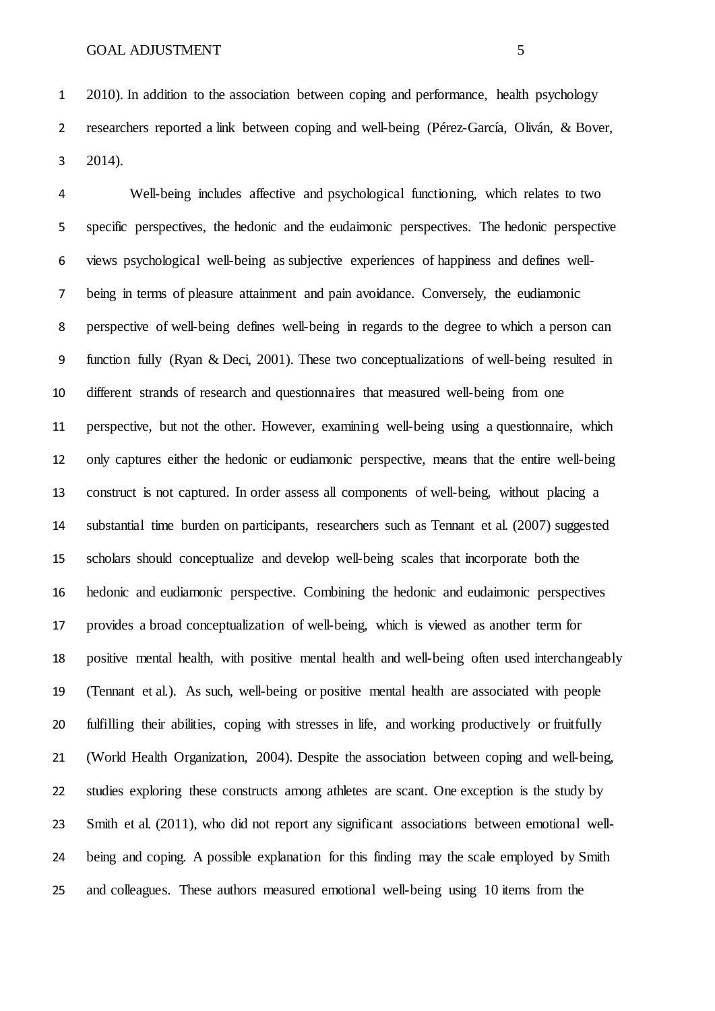2010). In addition to the association between coping and performance, health psychology researchers reported a link between coping and well-being (Pérez-García, Oliván, & Bover, 2014).

 Well-being includes affective and psychological functioning, which relates to two specific perspectives, the hedonic and the eudaimonic perspectives. The hedonic perspective views psychological well-being as subjective experiences of happiness and defines well- being in terms of pleasure attainment and pain avoidance. Conversely, the eudiamonic perspective of well-being defines well-being in regards to the degree to which a person can function fully (Ryan & Deci, 2001). These two conceptualizations of well-being resulted in different strands of research and questionnaires that measured well-being from one perspective, but not the other. However, examining well-being using a questionnaire, which only captures either the hedonic or eudiamonic perspective, means that the entire well-being construct is not captured. In order assess all components of well-being, without placing a substantial time burden on participants, researchers such as Tennant et al. (2007) suggested scholars should conceptualize and develop well-being scales that incorporate both the hedonic and eudiamonic perspective. Combining the hedonic and eudaimonic perspectives provides a broad conceptualization of well-being, which is viewed as another term for positive mental health, with positive mental health and well-being often used interchangeably (Tennant et al.). As such, well-being or positive mental health are associated with people fulfilling their abilities, coping with stresses in life, and working productively or fruitfully (World Health Organization, 2004). Despite the association between coping and well-being, studies exploring these constructs among athletes are scant. One exception is the study by Smith et al. (2011), who did not report any significant associations between emotional well- being and coping. A possible explanation for this finding may the scale employed by Smith and colleagues. These authors measured emotional well-being using 10 items from the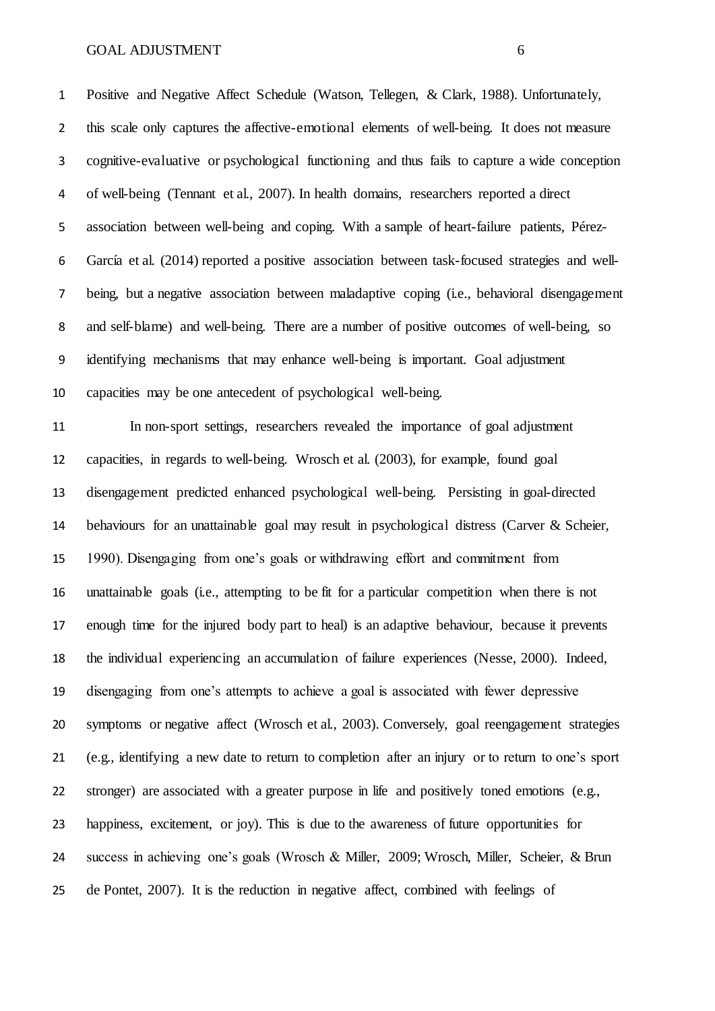Positive and Negative Affect Schedule (Watson, Tellegen, & Clark, 1988). Unfortunately, this scale only captures the affective-emotional elements of well-being. It does not measure cognitive-evaluative or psychological functioning and thus fails to capture a wide conception of well-being (Tennant et al., 2007). In health domains, researchers reported a direct association between well-being and coping. With a sample of heart-failure patients, Pérez- García et al. (2014) reported a positive association between task-focused strategies and well- being, but a negative association between maladaptive coping (i.e., behavioral disengagement and self-blame) and well-being. There are a number of positive outcomes of well-being, so identifying mechanisms that may enhance well-being is important. Goal adjustment capacities may be one antecedent of psychological well-being.

 In non-sport settings, researchers revealed the importance of goal adjustment capacities, in regards to well-being. Wrosch et al. (2003), for example, found goal disengagement predicted enhanced psychological well-being. Persisting in goal-directed behaviours for an unattainable goal may result in psychological distress (Carver & Scheier, 1990). Disengaging from one's goals or withdrawing effort and commitment from unattainable goals (i.e., attempting to be fit for a particular competition when there is not enough time for the injured body part to heal) is an adaptive behaviour, because it prevents the individual experiencing an accumulation of failure experiences (Nesse, 2000). Indeed, disengaging from one's attempts to achieve a goal is associated with fewer depressive symptoms or negative affect (Wrosch et al., 2003). Conversely, goal reengagement strategies (e.g., identifying a new date to return to completion after an injury or to return to one's sport stronger) are associated with a greater purpose in life and positively toned emotions (e.g., happiness, excitement, or joy). This is due to the awareness of future opportunities for success in achieving one's goals (Wrosch & Miller, 2009; Wrosch, Miller, Scheier, & Brun de Pontet, 2007). It is the reduction in negative affect, combined with feelings of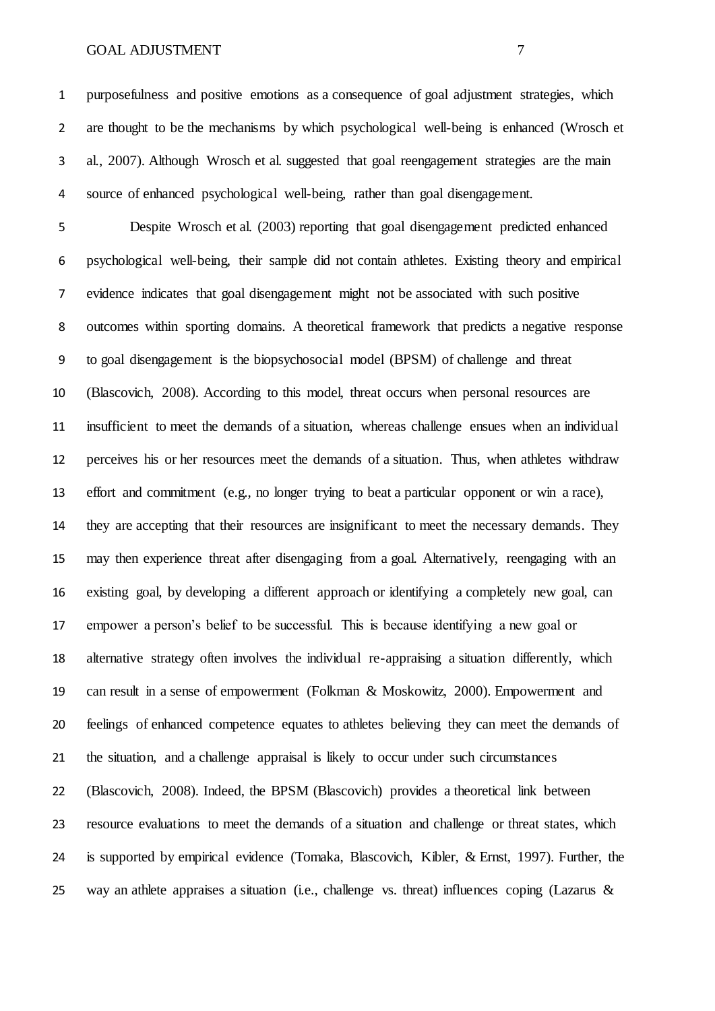purposefulness and positive emotions as a consequence of goal adjustment strategies, which are thought to be the mechanisms by which psychological well-being is enhanced (Wrosch et al., 2007). Although Wrosch et al. suggested that goal reengagement strategies are the main source of enhanced psychological well-being, rather than goal disengagement.

 Despite Wrosch et al. (2003) reporting that goal disengagement predicted enhanced psychological well-being, their sample did not contain athletes. Existing theory and empirical evidence indicates that goal disengagement might not be associated with such positive outcomes within sporting domains. A theoretical framework that predicts a negative response to goal disengagement is the biopsychosocial model (BPSM) of challenge and threat (Blascovich, 2008). According to this model, threat occurs when personal resources are insufficient to meet the demands of a situation, whereas challenge ensues when an individual perceives his or her resources meet the demands of a situation. Thus, when athletes withdraw effort and commitment (e.g., no longer trying to beat a particular opponent or win a race), they are accepting that their resources are insignificant to meet the necessary demands. They may then experience threat after disengaging from a goal. Alternatively, reengaging with an existing goal, by developing a different approach or identifying a completely new goal, can empower a person's belief to be successful. This is because identifying a new goal or alternative strategy often involves the individual re-appraising a situation differently, which can result in a sense of empowerment (Folkman & Moskowitz, 2000). Empowerment and feelings of enhanced competence equates to athletes believing they can meet the demands of the situation, and a challenge appraisal is likely to occur under such circumstances (Blascovich, 2008). Indeed, the BPSM (Blascovich) provides a theoretical link between resource evaluations to meet the demands of a situation and challenge or threat states, which is supported by empirical evidence (Tomaka, Blascovich, Kibler, & Ernst, 1997). Further, the 25 way an athlete appraises a situation (i.e., challenge vs. threat) influences coping (Lazarus  $\&$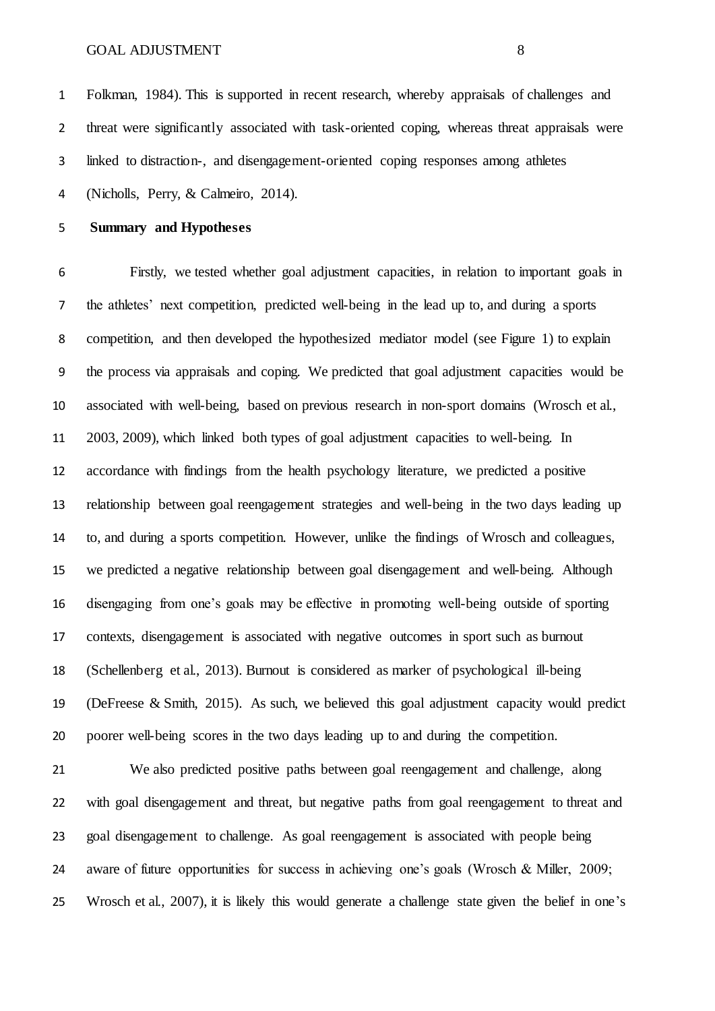Folkman, 1984). This is supported in recent research, whereby appraisals of challenges and threat were significantly associated with task-oriented coping, whereas threat appraisals were linked to distraction-, and disengagement-oriented coping responses among athletes

(Nicholls, Perry, & Calmeiro, 2014).

# **Summary and Hypotheses**

 Firstly, we tested whether goal adjustment capacities, in relation to important goals in the athletes' next competition, predicted well-being in the lead up to, and during a sports competition, and then developed the hypothesized mediator model (see Figure 1) to explain the process via appraisals and coping. We predicted that goal adjustment capacities would be associated with well-being, based on previous research in non-sport domains (Wrosch et al., 2003, 2009), which linked both types of goal adjustment capacities to well-being. In accordance with findings from the health psychology literature, we predicted a positive relationship between goal reengagement strategies and well-being in the two days leading up to, and during a sports competition. However, unlike the findings of Wrosch and colleagues, we predicted a negative relationship between goal disengagement and well-being. Although disengaging from one's goals may be effective in promoting well-being outside of sporting contexts, disengagement is associated with negative outcomes in sport such as burnout (Schellenberg et al., 2013). Burnout is considered as marker of psychological ill-being (DeFreese & Smith, 2015). As such, we believed this goal adjustment capacity would predict poorer well-being scores in the two days leading up to and during the competition.

 We also predicted positive paths between goal reengagement and challenge, along with goal disengagement and threat, but negative paths from goal reengagement to threat and goal disengagement to challenge. As goal reengagement is associated with people being aware of future opportunities for success in achieving one's goals (Wrosch & Miller, 2009; Wrosch et al., 2007), it is likely this would generate a challenge state given the belief in one's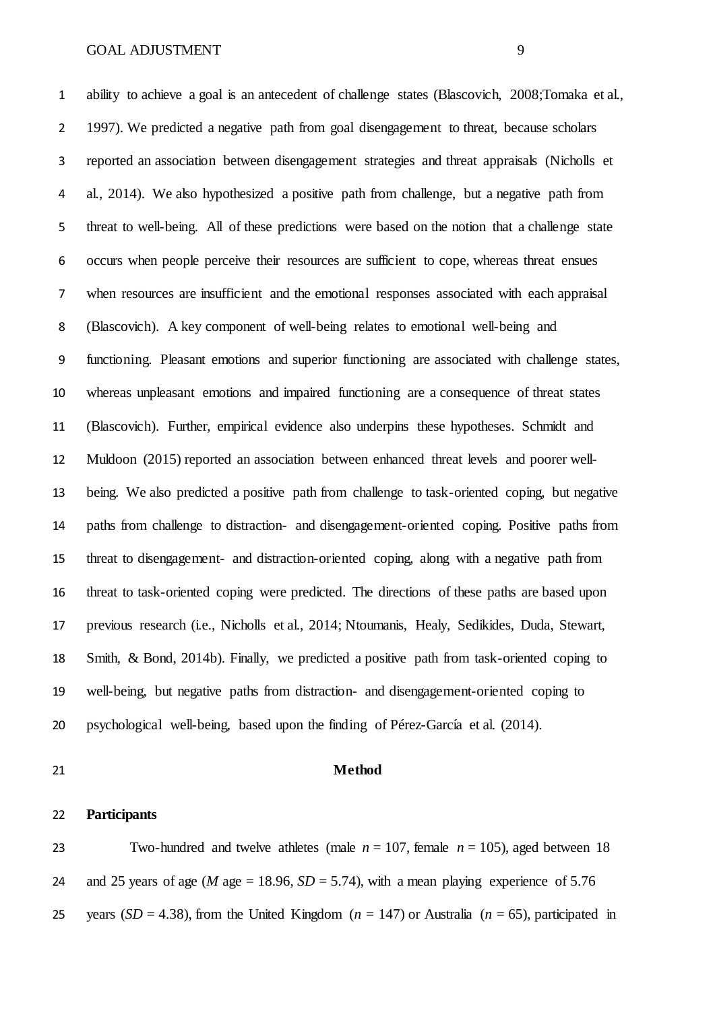ability to achieve a goal is an antecedent of challenge states (Blascovich, 2008;Tomaka et al., 1997). We predicted a negative path from goal disengagement to threat, because scholars reported an association between disengagement strategies and threat appraisals (Nicholls et al., 2014). We also hypothesized a positive path from challenge, but a negative path from threat to well-being. All of these predictions were based on the notion that a challenge state occurs when people perceive their resources are sufficient to cope, whereas threat ensues when resources are insufficient and the emotional responses associated with each appraisal (Blascovich). A key component of well-being relates to emotional well-being and functioning. Pleasant emotions and superior functioning are associated with challenge states, whereas unpleasant emotions and impaired functioning are a consequence of threat states (Blascovich). Further, empirical evidence also underpins these hypotheses. Schmidt and Muldoon (2015) reported an association between enhanced threat levels and poorer well- being. We also predicted a positive path from challenge to task-oriented coping, but negative paths from challenge to distraction- and disengagement-oriented coping. Positive paths from threat to disengagement- and distraction-oriented coping, along with a negative path from threat to task-oriented coping were predicted. The directions of these paths are based upon previous research (i.e., Nicholls et al., 2014; Ntoumanis, Healy, Sedikides, Duda, Stewart, Smith, & Bond, 2014b). Finally, we predicted a positive path from task-oriented coping to well-being, but negative paths from distraction- and disengagement-oriented coping to psychological well-being, based upon the finding of Pérez-García et al. (2014).

#### **Method**

**Participants**

23 Two-hundred and twelve athletes (male  $n = 107$ , female  $n = 105$ ), aged between 18 24 and 25 years of age (*M* age = 18.96,  $SD = 5.74$ ), with a mean playing experience of 5.76 25 years (*SD* = 4.38), from the United Kingdom ( $n = 147$ ) or Australia ( $n = 65$ ), participated in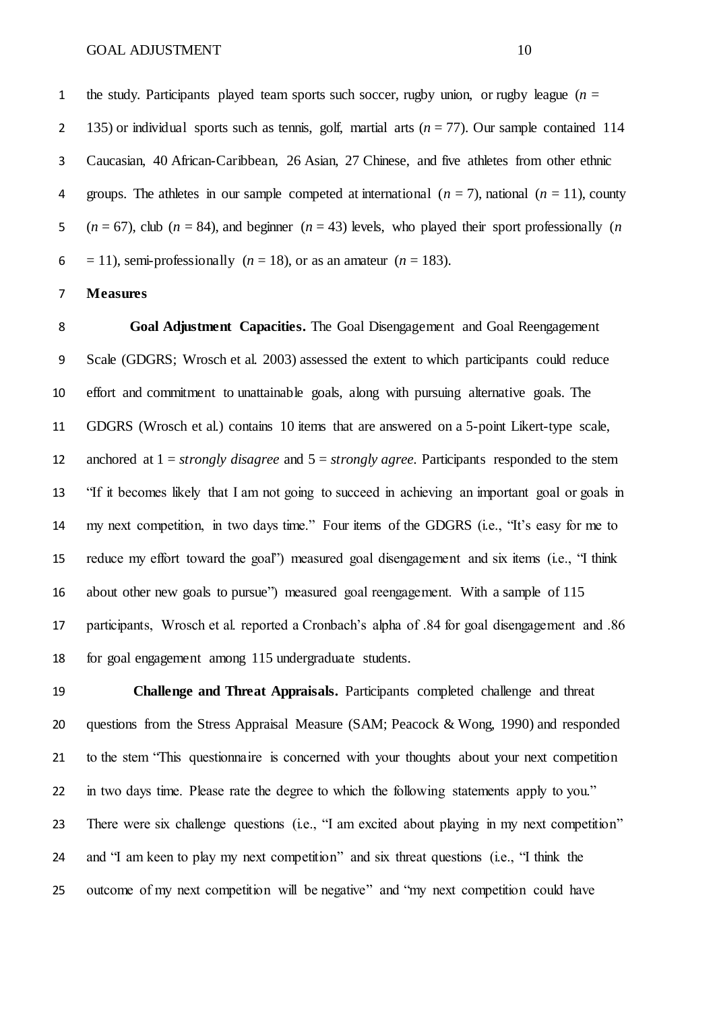1 the study. Participants played team sports such soccer, rugby union, or rugby league  $(n = 1)$ 2 135) or individual sports such as tennis, golf, martial arts  $(n = 77)$ . Our sample contained 114 Caucasian, 40 African-Caribbean, 26 Asian, 27 Chinese, and five athletes from other ethnic 4 groups. The athletes in our sample competed at international  $(n = 7)$ , national  $(n = 11)$ , county 5 ( $n = 67$ ), club ( $n = 84$ ), and beginner ( $n = 43$ ) levels, who played their sport professionally ( $n = 67$ )  $6 = 11$ , semi-professionally ( $n = 18$ ), or as an amateur ( $n = 183$ ).

### **Measures**

 **Goal Adjustment Capacities.** The Goal Disengagement and Goal Reengagement Scale (GDGRS; Wrosch et al. 2003) assessed the extent to which participants could reduce effort and commitment to unattainable goals, along with pursuing alternative goals. The GDGRS (Wrosch et al.) contains 10 items that are answered on a 5-point Likert-type scale, anchored at 1 = *strongly disagree* and 5 = *strongly agree.* Participants responded to the stem "If it becomes likely that I am not going to succeed in achieving an important goal or goals in my next competition, in two days time." Four items of the GDGRS (i.e., "It's easy for me to reduce my effort toward the goal") measured goal disengagement and six items (i.e., "I think about other new goals to pursue") measured goal reengagement. With a sample of 115 participants, Wrosch et al. reported a Cronbach's alpha of .84 for goal disengagement and .86 for goal engagement among 115 undergraduate students.

 **Challenge and Threat Appraisals.** Participants completed challenge and threat questions from the Stress Appraisal Measure (SAM; Peacock & Wong, 1990) and responded to the stem "This questionnaire is concerned with your thoughts about your next competition in two days time. Please rate the degree to which the following statements apply to you." 23 There were six challenge questions (i.e., "I am excited about playing in my next competition" and "I am keen to play my next competition" and six threat questions (i.e., "I think the outcome of my next competition will be negative" and "my next competition could have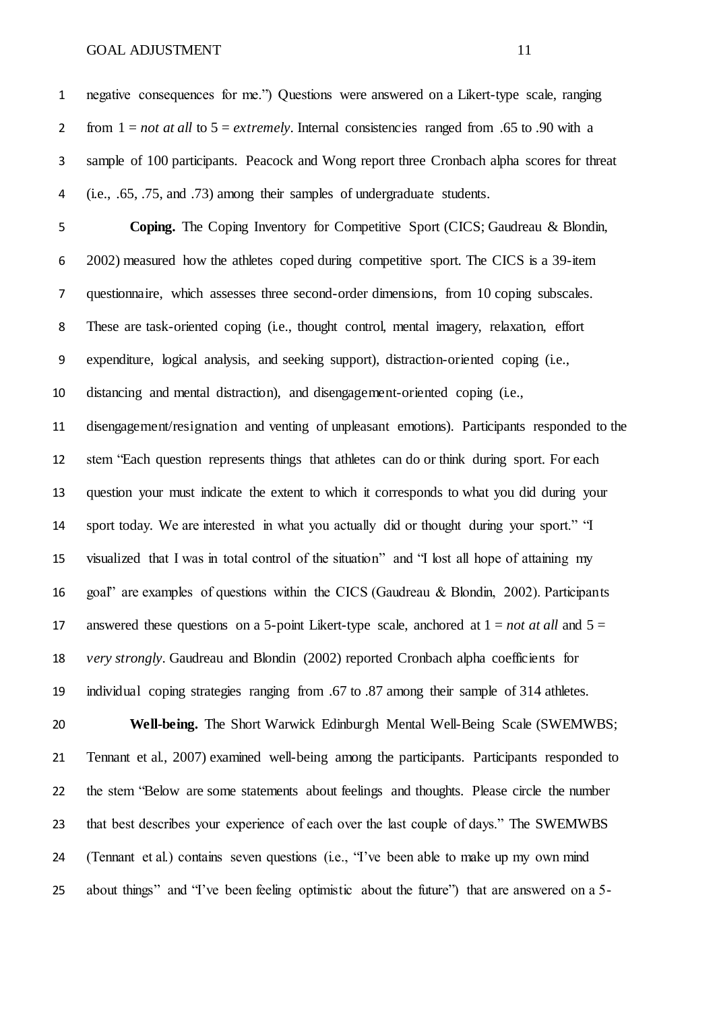negative consequences for me.") Questions were answered on a Likert-type scale, ranging 2 from  $1 = not$  *at all* to  $5 = extremely$ . Internal consistencies ranged from .65 to .90 with a sample of 100 participants. Peacock and Wong report three Cronbach alpha scores for threat (i.e., .65, .75, and .73) among their samples of undergraduate students. **Coping.** The Coping Inventory for Competitive Sport (CICS; Gaudreau & Blondin, 2002) measured how the athletes coped during competitive sport. The CICS is a 39-item questionnaire, which assesses three second-order dimensions, from 10 coping subscales. These are task-oriented coping (i.e., thought control, mental imagery, relaxation, effort expenditure, logical analysis, and seeking support), distraction-oriented coping (i.e., distancing and mental distraction), and disengagement-oriented coping (i.e., disengagement/resignation and venting of unpleasant emotions). Participants responded to the stem "Each question represents things that athletes can do or think during sport. For each question your must indicate the extent to which it corresponds to what you did during your sport today. We are interested in what you actually did or thought during your sport." "I visualized that I was in total control of the situation" and "I lost all hope of attaining my goal" are examples of questions within the CICS (Gaudreau & Blondin, 2002). Participants 17 answered these questions on a 5-point Likert-type scale, anchored at  $1 = not at all$  and  $5 =$  *very strongly*. Gaudreau and Blondin (2002) reported Cronbach alpha coefficients for individual coping strategies ranging from .67 to .87 among their sample of 314 athletes. **Well-being.** The Short Warwick Edinburgh Mental Well-Being Scale (SWEMWBS;

 Tennant et al., 2007) examined well-being among the participants. Participants responded to 22 the stem "Below are some statements about feelings and thoughts. Please circle the number that best describes your experience of each over the last couple of days." The SWEMWBS (Tennant et al.) contains seven questions (i.e., "I've been able to make up my own mind about things" and "I've been feeling optimistic about the future") that are answered on a 5-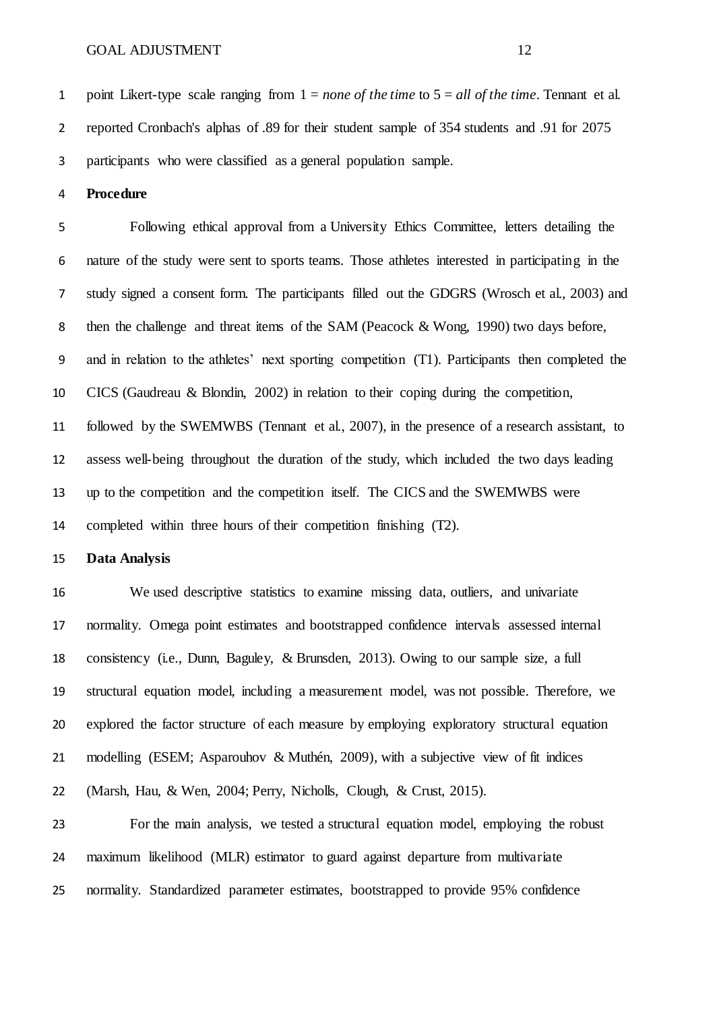point Likert-type scale ranging from 1 = *none of the time* to 5 = *all of the time*. Tennant et al. reported Cronbach's alphas of .89 for their student sample of 354 students and .91 for 2075 participants who were classified as a general population sample.

#### **Procedure**

 Following ethical approval from a University Ethics Committee, letters detailing the nature of the study were sent to sports teams. Those athletes interested in participating in the study signed a consent form. The participants filled out the GDGRS (Wrosch et al., 2003) and then the challenge and threat items of the SAM (Peacock & Wong, 1990) two days before, and in relation to the athletes' next sporting competition (T1). Participants then completed the CICS (Gaudreau & Blondin, 2002) in relation to their coping during the competition, followed by the SWEMWBS (Tennant et al., 2007), in the presence of a research assistant, to assess well-being throughout the duration of the study, which included the two days leading up to the competition and the competition itself. The CICS and the SWEMWBS were completed within three hours of their competition finishing (T2).

## **Data Analysis**

 We used descriptive statistics to examine missing data, outliers, and univariate normality. Omega point estimates and bootstrapped confidence intervals assessed internal consistency (i.e., Dunn, Baguley, & Brunsden, 2013). Owing to our sample size, a full structural equation model, including a measurement model, was not possible. Therefore, we explored the factor structure of each measure by employing exploratory structural equation modelling (ESEM; Asparouhov & Muthén, 2009), with a subjective view of fit indices (Marsh, Hau, & Wen, 2004; Perry, Nicholls, Clough, & Crust, 2015).

 For the main analysis, we tested a structural equation model, employing the robust maximum likelihood (MLR) estimator to guard against departure from multivariate normality. Standardized parameter estimates, bootstrapped to provide 95% confidence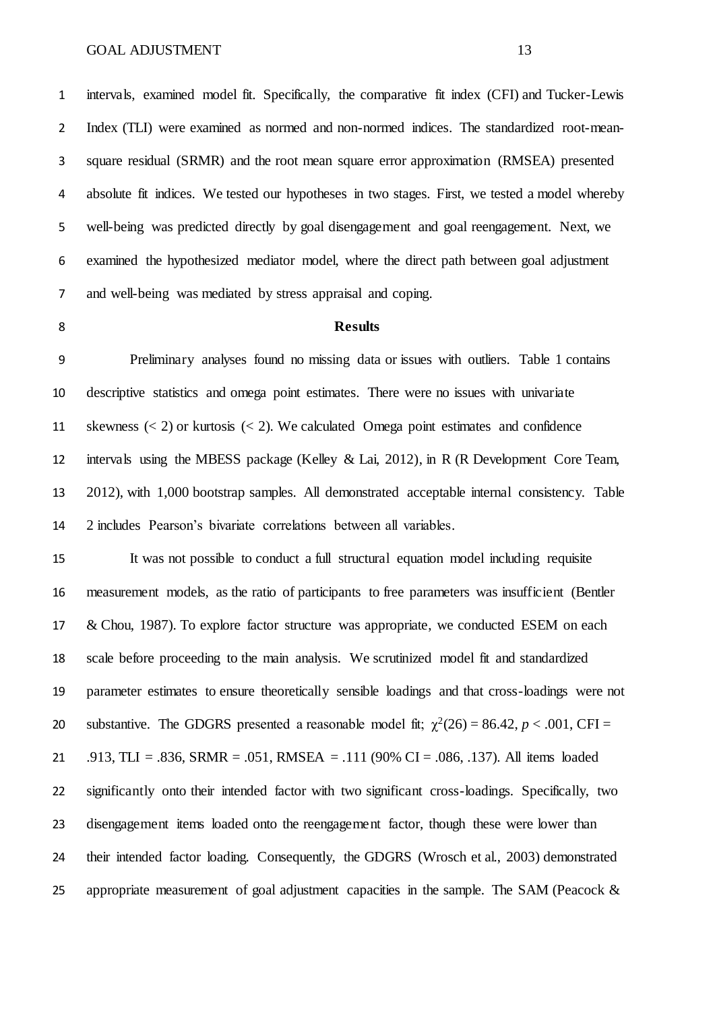intervals, examined model fit. Specifically, the comparative fit index (CFI) and Tucker-Lewis Index (TLI) were examined as normed and non-normed indices. The standardized root-mean- square residual (SRMR) and the root mean square error approximation (RMSEA) presented absolute fit indices. We tested our hypotheses in two stages. First, we tested a model whereby well-being was predicted directly by goal disengagement and goal reengagement. Next, we examined the hypothesized mediator model, where the direct path between goal adjustment and well-being was mediated by stress appraisal and coping.

#### **Results**

 Preliminary analyses found no missing data or issues with outliers. Table 1 contains descriptive statistics and omega point estimates. There were no issues with univariate 11 skewness  $(< 2)$  or kurtosis  $(< 2)$ . We calculated Omega point estimates and confidence intervals using the MBESS package (Kelley & Lai, 2012), in R (R Development Core Team, 2012), with 1,000 bootstrap samples. All demonstrated acceptable internal consistency. Table 2 includes Pearson's bivariate correlations between all variables.

 It was not possible to conduct a full structural equation model including requisite measurement models, as the ratio of participants to free parameters was insufficient (Bentler & Chou, 1987). To explore factor structure was appropriate, we conducted ESEM on each scale before proceeding to the main analysis. We scrutinized model fit and standardized parameter estimates to ensure theoretically sensible loadings and that cross-loadings were not 20 substantive. The GDGRS presented a reasonable model fit;  $\chi^2(26) = 86.42$ , *p* < .001, CFI = .913, TLI = .836, SRMR = .051, RMSEA = .111 (90% CI = .086, .137). All items loaded significantly onto their intended factor with two significant cross-loadings. Specifically, two disengagement items loaded onto the reengagement factor, though these were lower than their intended factor loading. Consequently, the GDGRS (Wrosch et al., 2003) demonstrated appropriate measurement of goal adjustment capacities in the sample. The SAM (Peacock &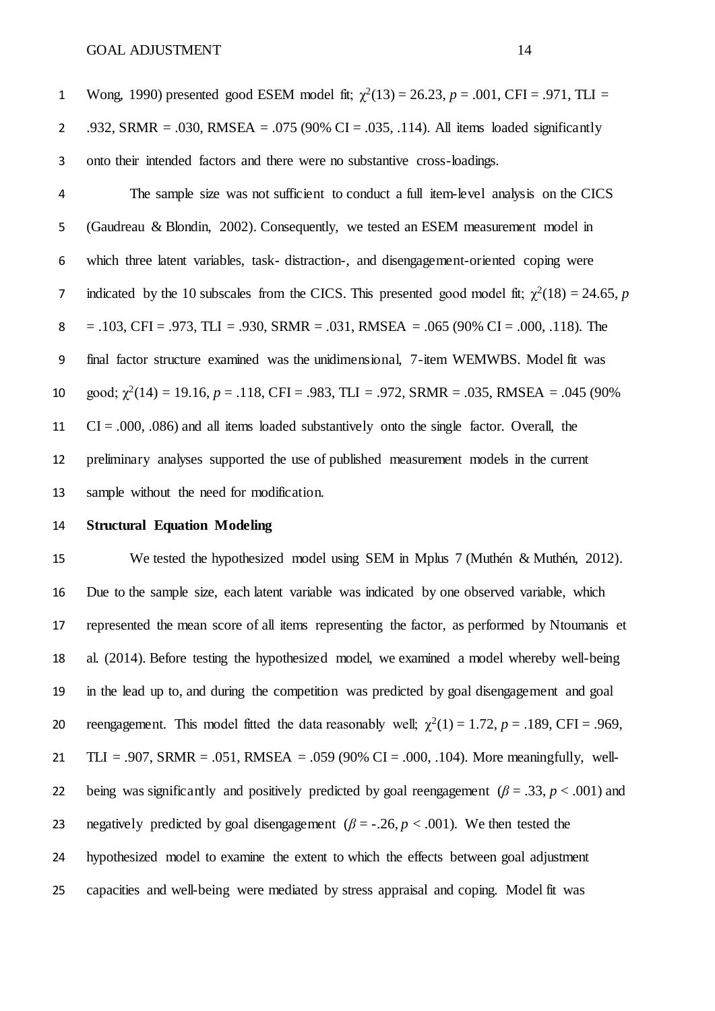1 Wong, 1990) presented good ESEM model fit;  $\chi^2(13) = 26.23$ ,  $p = .001$ , CFI = .971, TLI = .932, SRMR = .030, RMSEA = .075 (90% CI = .035, .114). All items loaded significantly onto their intended factors and there were no substantive cross-loadings.

 The sample size was not sufficient to conduct a full item-level analysis on the CICS (Gaudreau & Blondin, 2002). Consequently, we tested an ESEM measurement model in which three latent variables, task- distraction-, and disengagement-oriented coping were 7 indicated by the 10 subscales from the CICS. This presented good model fit;  $\chi^2(18) = 24.65$ , *p* 8 = .103, CFI = .973, TLI = .930, SRMR = .031, RMSEA = .065 (90% CI = .000, .118). The final factor structure examined was the unidimensional, 7-item WEMWBS. Model fit was 10 good;  $\chi^2(14) = 19.16$ ,  $p = .118$ , CFI = .983, TLI = .972, SRMR = .035, RMSEA = .045 (90%) CI = .000, .086) and all items loaded substantively onto the single factor. Overall, the preliminary analyses supported the use of published measurement models in the current sample without the need for modification.

## **Structural Equation Modeling**

 We tested the hypothesized model using SEM in Mplus 7 (Muthén & Muthén, 2012). Due to the sample size, each latent variable was indicated by one observed variable, which represented the mean score of all items representing the factor, as performed by Ntoumanis et al. (2014). Before testing the hypothesized model, we examined a model whereby well-being in the lead up to, and during the competition was predicted by goal disengagement and goal reengagement. This model fitted the data reasonably well;  $χ<sup>2</sup>(1) = 1.72$ ,  $p = .189$ , CFI = .969, 21 TLI = .907, SRMR = .051, RMSEA = .059 (90% CI = .000, .104). More meaningfully, well-22 being was significantly and positively predicted by goal reengagement ( $\beta = .33$ ,  $p < .001$ ) and 23 negatively predicted by goal disengagement ( $\beta$  = -.26,  $p$  < .001). We then tested the hypothesized model to examine the extent to which the effects between goal adjustment capacities and well-being were mediated by stress appraisal and coping. Model fit was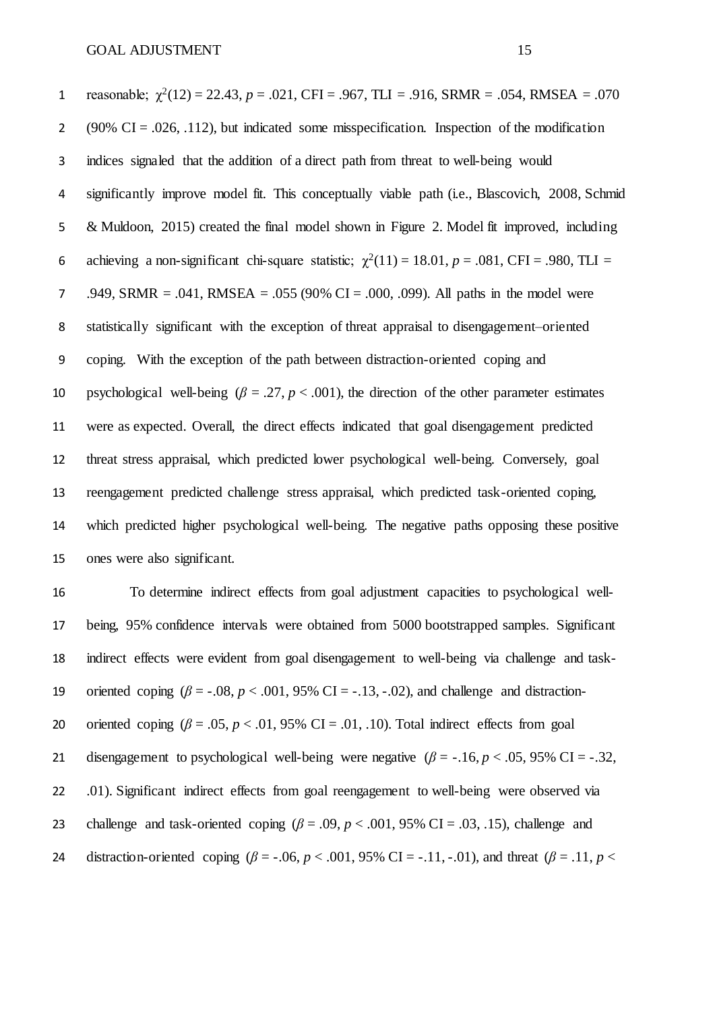reasonable;  $χ<sup>2</sup>(12) = 22.43$ ,  $p = .021$ , CFI = .967, TLI = .916, SRMR = .054, RMSEA = .070 2 (90% CI = .026, .112), but indicated some misspecification. Inspection of the modification indices signaled that the addition of a direct path from threat to well-being would significantly improve model fit. This conceptually viable path (i.e., Blascovich, 2008, Schmid & Muldoon, 2015) created the final model shown in Figure 2. Model fit improved, including 6 achieving a non-significant chi-square statistic;  $\chi^2(11) = 18.01$ ,  $p = .081$ , CFI = .980, TLI = 7 .949, SRMR = .041, RMSEA = .055 (90% CI = .000, .099). All paths in the model were statistically significant with the exception of threat appraisal to disengagement–oriented coping. With the exception of the path between distraction-oriented coping and 10 psychological well-being  $(\beta = .27, p < .001)$ , the direction of the other parameter estimates were as expected. Overall, the direct effects indicated that goal disengagement predicted threat stress appraisal, which predicted lower psychological well-being. Conversely, goal reengagement predicted challenge stress appraisal, which predicted task-oriented coping, which predicted higher psychological well-being. The negative paths opposing these positive ones were also significant.

16 To determine indirect effects from goal adjustment capacities to psychological well-17 being, 95% confidence intervals were obtained from 5000 bootstrapped samples. Significant 18 indirect effects were evident from goal disengagement to well-being via challenge and task-19 oriented coping (*β* = -.08, *p* < .001, 95% CI = -.13, -.02), and challenge and distraction-20 oriented coping (*β* = .05, *p* < .01, 95% CI = .01, .10). Total indirect effects from goal 21 disengagement to psychological well-being were negative  $(\beta = -16, p < .05, 95\% \text{ CI} = -.32,$ 22 .01). Significant indirect effects from goal reengagement to well-being were observed via 23 challenge and task-oriented coping  $(\beta = .09, p < .001, 95\% \text{ CI} = .03, .15)$ , challenge and 24 distraction-oriented coping  $(\beta = -0.06, p < .001, 95\% \text{ CI} = -0.11, -0.01)$ , and threat  $(\beta = 0.11, p < .001)$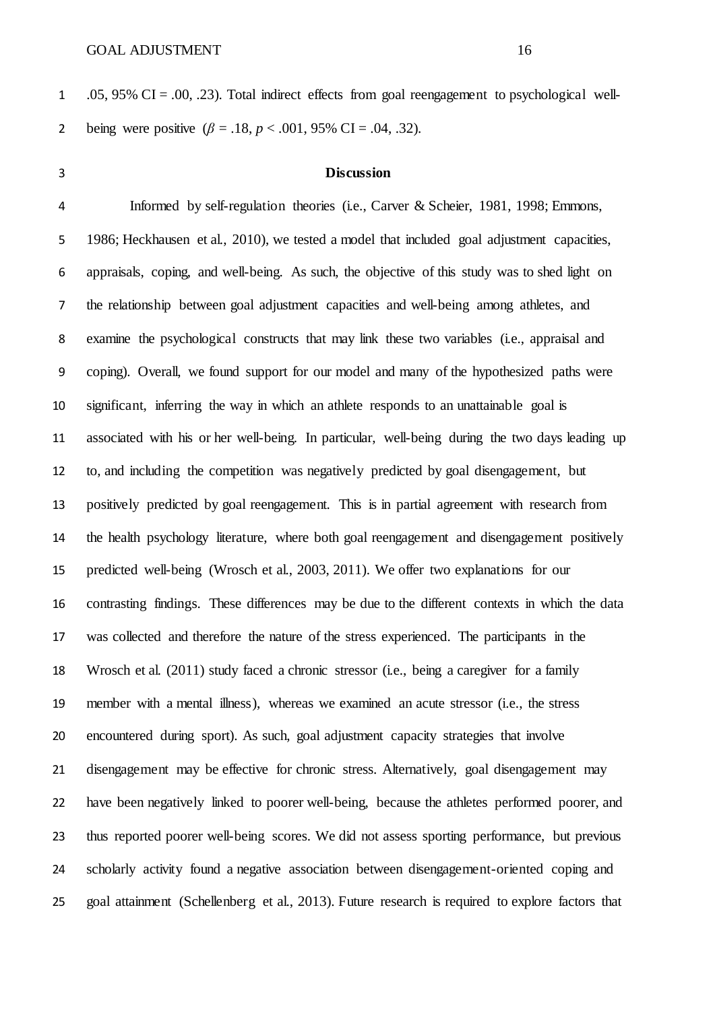.05, 95% CI = .00, .23). Total indirect effects from goal reengagement to psychological well-2 being were positive  $(\beta = .18, p < .001, 95\% \text{ CI} = .04, .32)$ .

#### **Discussion**

 Informed by self-regulation theories (i.e., Carver & Scheier, 1981, 1998; Emmons, 1986; Heckhausen et al., 2010), we tested a model that included goal adjustment capacities, appraisals, coping, and well-being. As such, the objective of this study was to shed light on the relationship between goal adjustment capacities and well-being among athletes, and examine the psychological constructs that may link these two variables (i.e., appraisal and coping). Overall, we found support for our model and many of the hypothesized paths were significant, inferring the way in which an athlete responds to an unattainable goal is associated with his or her well-being. In particular, well-being during the two days leading up to, and including the competition was negatively predicted by goal disengagement, but positively predicted by goal reengagement. This is in partial agreement with research from the health psychology literature, where both goal reengagement and disengagement positively predicted well-being (Wrosch et al., 2003, 2011). We offer two explanations for our contrasting findings. These differences may be due to the different contexts in which the data was collected and therefore the nature of the stress experienced. The participants in the 18 Wrosch et al. (2011) study faced a chronic stressor (i.e., being a caregiver for a family member with a mental illness), whereas we examined an acute stressor (i.e., the stress encountered during sport). As such, goal adjustment capacity strategies that involve disengagement may be effective for chronic stress. Alternatively, goal disengagement may have been negatively linked to poorer well-being, because the athletes performed poorer, and thus reported poorer well-being scores. We did not assess sporting performance, but previous scholarly activity found a negative association between disengagement-oriented coping and goal attainment (Schellenberg et al., 2013). Future research is required to explore factors that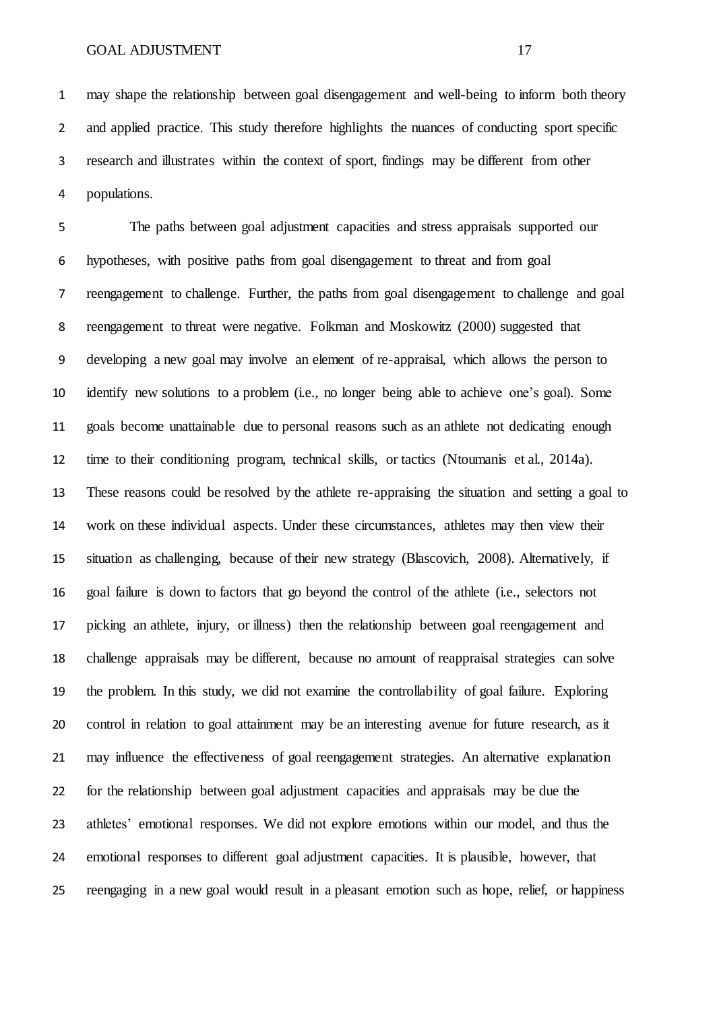may shape the relationship between goal disengagement and well-being to inform both theory and applied practice. This study therefore highlights the nuances of conducting sport specific research and illustrates within the context of sport, findings may be different from other populations.

 The paths between goal adjustment capacities and stress appraisals supported our hypotheses, with positive paths from goal disengagement to threat and from goal reengagement to challenge. Further, the paths from goal disengagement to challenge and goal reengagement to threat were negative. Folkman and Moskowitz (2000) suggested that developing a new goal may involve an element of re-appraisal, which allows the person to identify new solutions to a problem (i.e., no longer being able to achieve one's goal). Some goals become unattainable due to personal reasons such as an athlete not dedicating enough time to their conditioning program, technical skills, or tactics (Ntoumanis et al., 2014a). These reasons could be resolved by the athlete re-appraising the situation and setting a goal to work on these individual aspects. Under these circumstances, athletes may then view their situation as challenging, because of their new strategy (Blascovich, 2008). Alternatively, if goal failure is down to factors that go beyond the control of the athlete (i.e., selectors not picking an athlete, injury, or illness) then the relationship between goal reengagement and challenge appraisals may be different, because no amount of reappraisal strategies can solve the problem. In this study, we did not examine the controllability of goal failure. Exploring control in relation to goal attainment may be an interesting avenue for future research, as it may influence the effectiveness of goal reengagement strategies. An alternative explanation for the relationship between goal adjustment capacities and appraisals may be due the athletes' emotional responses. We did not explore emotions within our model, and thus the emotional responses to different goal adjustment capacities. It is plausible, however, that reengaging in a new goal would result in a pleasant emotion such as hope, relief, or happiness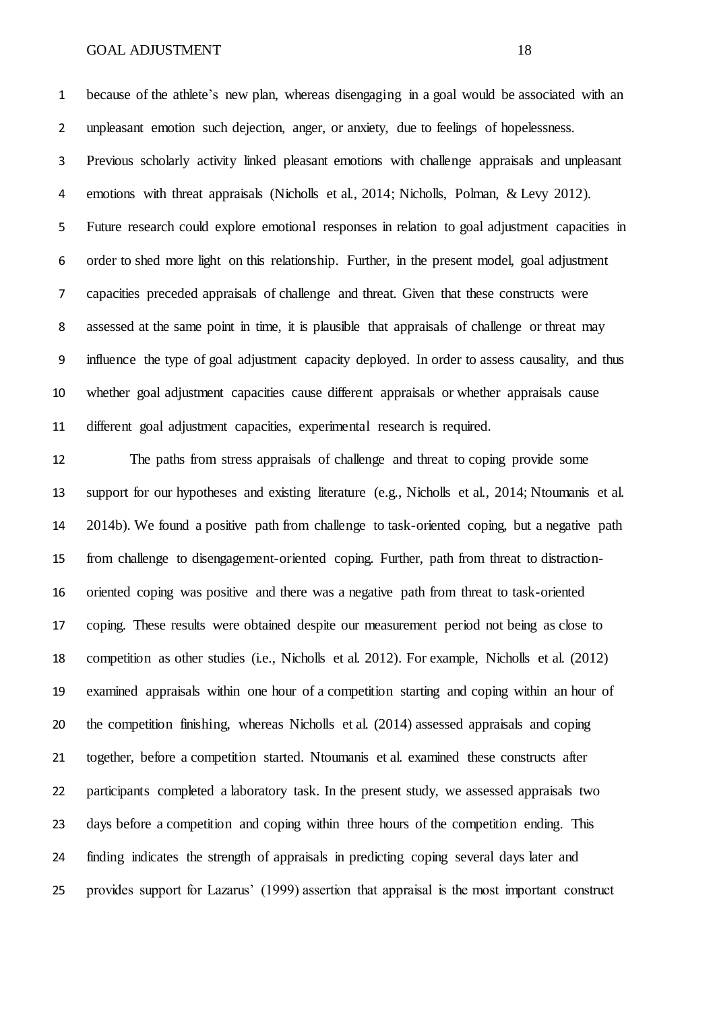because of the athlete's new plan, whereas disengaging in a goal would be associated with an unpleasant emotion such dejection, anger, or anxiety, due to feelings of hopelessness. Previous scholarly activity linked pleasant emotions with challenge appraisals and unpleasant emotions with threat appraisals (Nicholls et al., 2014; Nicholls, Polman, & Levy 2012). Future research could explore emotional responses in relation to goal adjustment capacities in order to shed more light on this relationship. Further, in the present model, goal adjustment capacities preceded appraisals of challenge and threat. Given that these constructs were assessed at the same point in time, it is plausible that appraisals of challenge or threat may influence the type of goal adjustment capacity deployed. In order to assess causality, and thus whether goal adjustment capacities cause different appraisals or whether appraisals cause different goal adjustment capacities, experimental research is required.

 The paths from stress appraisals of challenge and threat to coping provide some support for our hypotheses and existing literature (e.g., Nicholls et al., 2014; Ntoumanis et al. 2014b). We found a positive path from challenge to task-oriented coping, but a negative path from challenge to disengagement-oriented coping. Further, path from threat to distraction- oriented coping was positive and there was a negative path from threat to task-oriented coping. These results were obtained despite our measurement period not being as close to competition as other studies (i.e., Nicholls et al. 2012). For example, Nicholls et al. (2012) examined appraisals within one hour of a competition starting and coping within an hour of the competition finishing, whereas Nicholls et al. (2014) assessed appraisals and coping together, before a competition started. Ntoumanis et al. examined these constructs after participants completed a laboratory task. In the present study, we assessed appraisals two days before a competition and coping within three hours of the competition ending. This finding indicates the strength of appraisals in predicting coping several days later and provides support for Lazarus' (1999) assertion that appraisal is the most important construct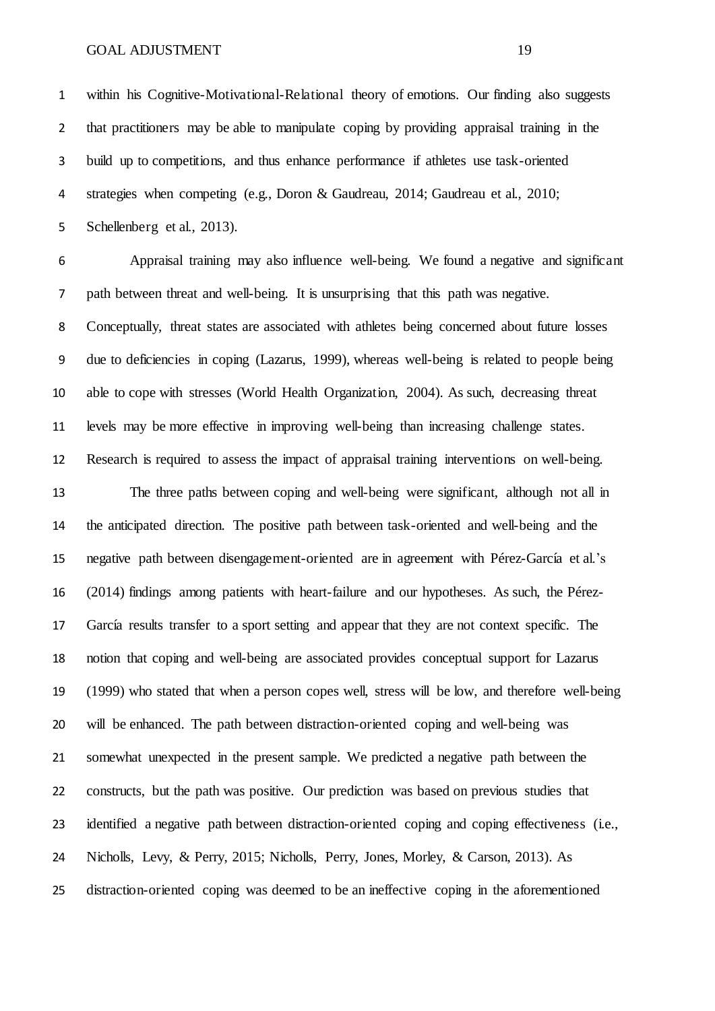within his Cognitive-Motivational-Relational theory of emotions. Our finding also suggests that practitioners may be able to manipulate coping by providing appraisal training in the build up to competitions, and thus enhance performance if athletes use task-oriented strategies when competing (e.g., Doron & Gaudreau, 2014; Gaudreau et al., 2010; Schellenberg et al., 2013).

 Appraisal training may also influence well-being. We found a negative and significant path between threat and well-being. It is unsurprising that this path was negative. Conceptually, threat states are associated with athletes being concerned about future losses due to deficiencies in coping (Lazarus, 1999), whereas well-being is related to people being able to cope with stresses (World Health Organization, 2004). As such, decreasing threat levels may be more effective in improving well-being than increasing challenge states. Research is required to assess the impact of appraisal training interventions on well-being.

 The three paths between coping and well-being were significant, although not all in the anticipated direction. The positive path between task-oriented and well-being and the negative path between disengagement-oriented are in agreement with Pérez-García et al.'s (2014) findings among patients with heart-failure and our hypotheses. As such, the Pérez- García results transfer to a sport setting and appear that they are not context specific. The notion that coping and well-being are associated provides conceptual support for Lazarus (1999) who stated that when a person copes well, stress will be low, and therefore well-being will be enhanced. The path between distraction-oriented coping and well-being was somewhat unexpected in the present sample. We predicted a negative path between the constructs, but the path was positive. Our prediction was based on previous studies that 23 identified a negative path between distraction-oriented coping and coping effectiveness (i.e., Nicholls, Levy, & Perry, 2015; Nicholls, Perry, Jones, Morley, & Carson, 2013). As distraction-oriented coping was deemed to be an ineffective coping in the aforementioned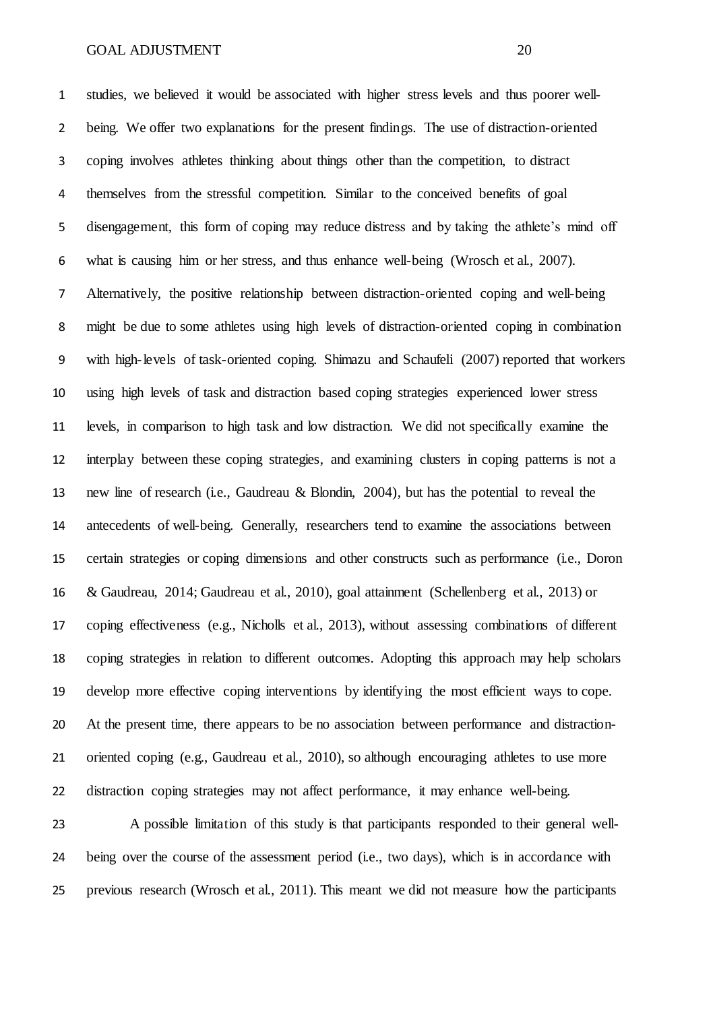studies, we believed it would be associated with higher stress levels and thus poorer well- being. We offer two explanations for the present findings. The use of distraction-oriented coping involves athletes thinking about things other than the competition, to distract themselves from the stressful competition. Similar to the conceived benefits of goal disengagement, this form of coping may reduce distress and by taking the athlete's mind off what is causing him or her stress, and thus enhance well-being (Wrosch et al., 2007). Alternatively, the positive relationship between distraction-oriented coping and well-being might be due to some athletes using high levels of distraction-oriented coping in combination with high-levels of task-oriented coping. Shimazu and Schaufeli (2007) reported that workers using high levels of task and distraction based coping strategies experienced lower stress levels, in comparison to high task and low distraction. We did not specifically examine the interplay between these coping strategies, and examining clusters in coping patterns is not a new line of research (i.e., Gaudreau & Blondin, 2004), but has the potential to reveal the antecedents of well-being. Generally, researchers tend to examine the associations between certain strategies or coping dimensions and other constructs such as performance (i.e., Doron & Gaudreau, 2014; Gaudreau et al., 2010), goal attainment (Schellenberg et al., 2013) or coping effectiveness (e.g., Nicholls et al., 2013), without assessing combinations of different coping strategies in relation to different outcomes. Adopting this approach may help scholars develop more effective coping interventions by identifying the most efficient ways to cope. At the present time, there appears to be no association between performance and distraction- oriented coping (e.g., Gaudreau et al., 2010), so although encouraging athletes to use more distraction coping strategies may not affect performance, it may enhance well-being.

 A possible limitation of this study is that participants responded to their general well-24 being over the course of the assessment period (i.e., two days), which is in accordance with previous research (Wrosch et al., 2011). This meant we did not measure how the participants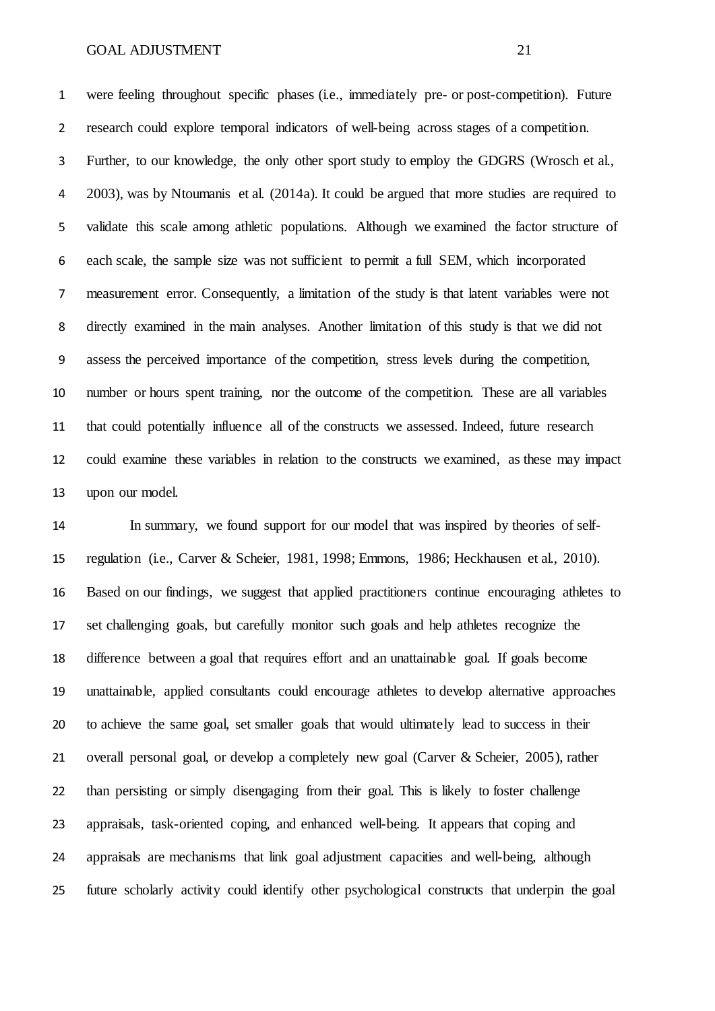were feeling throughout specific phases (i.e., immediately pre- or post-competition). Future research could explore temporal indicators of well-being across stages of a competition. Further, to our knowledge, the only other sport study to employ the GDGRS (Wrosch et al., 2003), was by Ntoumanis et al. (2014a). It could be argued that more studies are required to validate this scale among athletic populations. Although we examined the factor structure of each scale, the sample size was not sufficient to permit a full SEM, which incorporated measurement error. Consequently, a limitation of the study is that latent variables were not directly examined in the main analyses. Another limitation of this study is that we did not assess the perceived importance of the competition, stress levels during the competition, number or hours spent training, nor the outcome of the competition. These are all variables that could potentially influence all of the constructs we assessed. Indeed, future research could examine these variables in relation to the constructs we examined, as these may impact upon our model.

 In summary, we found support for our model that was inspired by theories of self-15 regulation (i.e., Carver & Scheier, 1981, 1998; Emmons, 1986; Heckhausen et al., 2010). Based on our findings, we suggest that applied practitioners continue encouraging athletes to set challenging goals, but carefully monitor such goals and help athletes recognize the difference between a goal that requires effort and an unattainable goal. If goals become unattainable, applied consultants could encourage athletes to develop alternative approaches to achieve the same goal, set smaller goals that would ultimately lead to success in their overall personal goal, or develop a completely new goal (Carver & Scheier, 2005), rather than persisting or simply disengaging from their goal. This is likely to foster challenge appraisals, task-oriented coping, and enhanced well-being. It appears that coping and appraisals are mechanisms that link goal adjustment capacities and well-being, although future scholarly activity could identify other psychological constructs that underpin the goal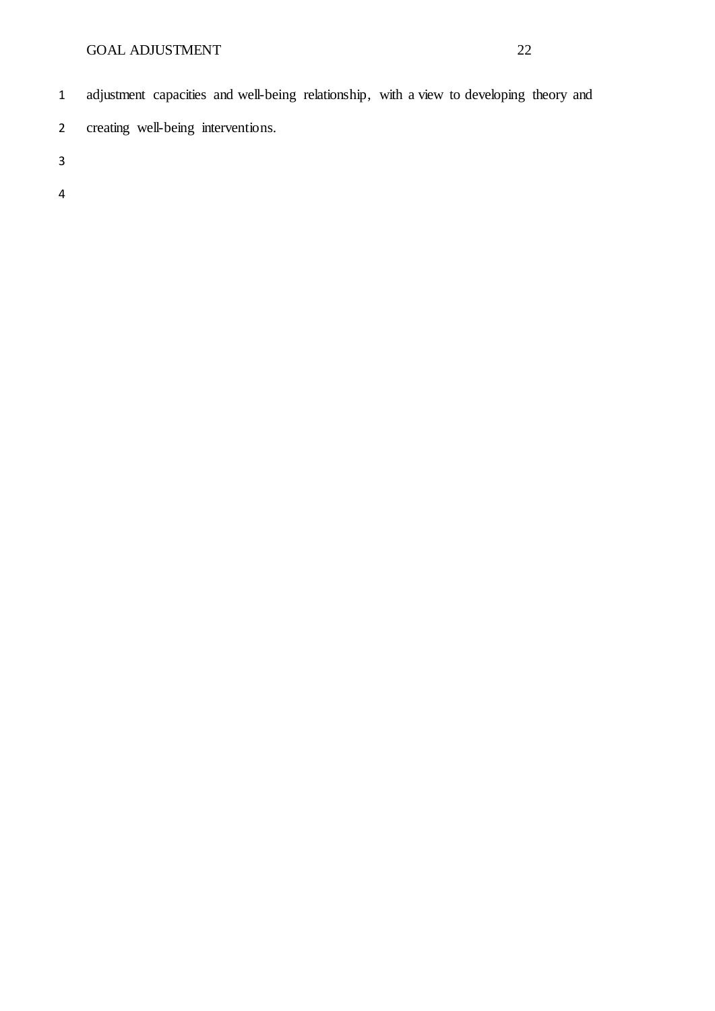- adjustment capacities and well-being relationship, with a view to developing theory and
- creating well-being interventions.
-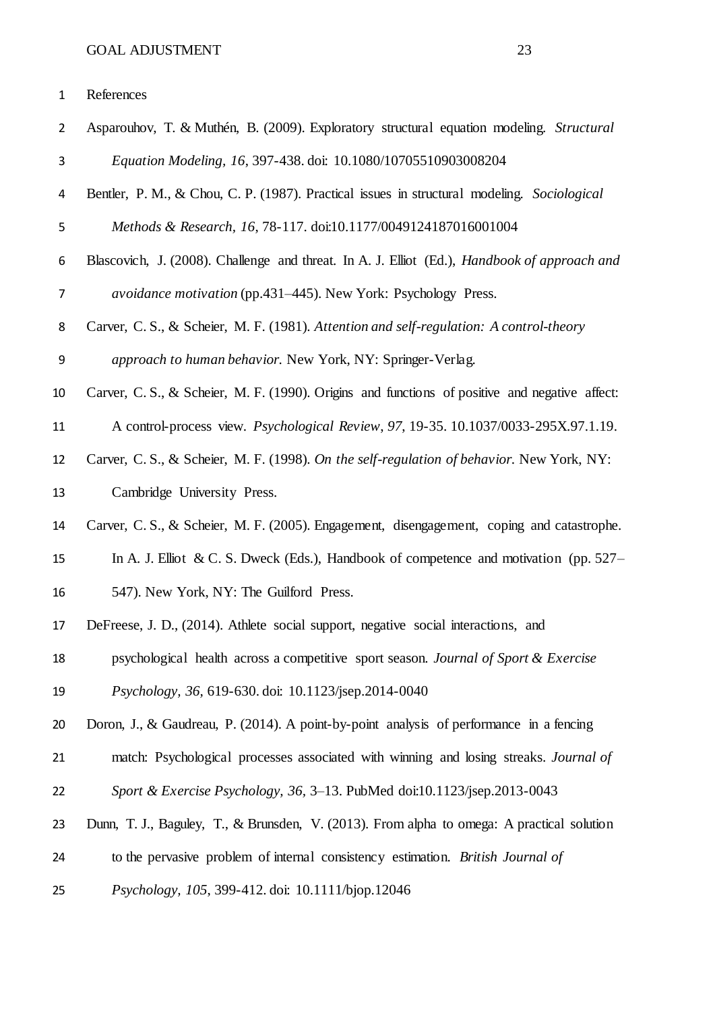| $\mathbf{1}$   | References                                                                                     |
|----------------|------------------------------------------------------------------------------------------------|
| $\overline{2}$ | Asparouhov, T. & Muthén, B. (2009). Exploratory structural equation modeling. Structural       |
| 3              | Equation Modeling, 16, 397-438. doi: 10.1080/10705510903008204                                 |
| 4              | Bentler, P. M., & Chou, C. P. (1987). Practical issues in structural modeling. Sociological    |
| 5              | Methods & Research, 16, 78-117. doi:10.1177/0049124187016001004                                |
| 6              | Blascovich, J. (2008). Challenge and threat. In A. J. Elliot (Ed.), Handbook of approach and   |
| 7              | avoidance motivation (pp.431-445). New York: Psychology Press.                                 |
| 8              | Carver, C. S., & Scheier, M. F. (1981). Attention and self-regulation: A control-theory        |
| 9              | approach to human behavior. New York, NY: Springer-Verlag.                                     |
| 10             | Carver, C. S., & Scheier, M. F. (1990). Origins and functions of positive and negative affect: |
| 11             | A control-process view. Psychological Review, 97, 19-35. 10.1037/0033-295X.97.1.19.            |
| 12             | Carver, C. S., & Scheier, M. F. (1998). On the self-regulation of behavior. New York, NY:      |
| 13             | Cambridge University Press.                                                                    |
| 14             | Carver, C. S., & Scheier, M. F. (2005). Engagement, disengagement, coping and catastrophe.     |
| 15             | In A. J. Elliot & C. S. Dweck (Eds.), Handbook of competence and motivation (pp. $527-$        |
| 16             | 547). New York, NY: The Guilford Press.                                                        |
| 17             | DeFreese, J. D., (2014). Athlete social support, negative social interactions, and             |
| 18             | psychological health across a competitive sport season. Journal of Sport & Exercise            |
| 19             | Psychology, 36, 619-630. doi: 10.1123/jsep.2014-0040                                           |
| 20             | Doron, J., & Gaudreau, P. (2014). A point-by-point analysis of performance in a fencing        |
| 21             | match: Psychological processes associated with winning and losing streaks. Journal of          |
| 22             | Sport & Exercise Psychology, 36, 3-13. PubMed doi:10.1123/jsep.2013-0043                       |
| 23             | Dunn, T. J., Baguley, T., & Brunsden, V. (2013). From alpha to omega: A practical solution     |
| 24             | to the pervasive problem of internal consistency estimation. British Journal of                |
| 25             | Psychology, 105, 399-412. doi: 10.1111/bjop.12046                                              |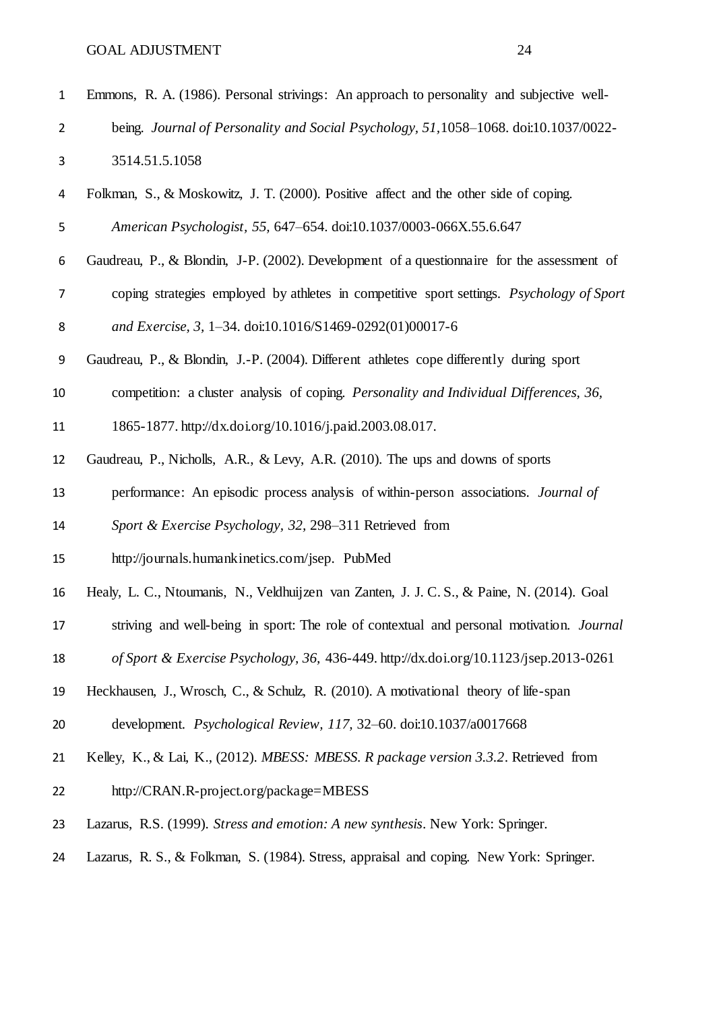| $\mathbf{1}$   | Emmons, R. A. (1986). Personal strivings: An approach to personality and subjective well-  |
|----------------|--------------------------------------------------------------------------------------------|
| $\overline{2}$ | being. Journal of Personality and Social Psychology, 51,1058-1068. doi:10.1037/0022-       |
| 3              | 3514.51.5.1058                                                                             |
| 4              | Folkman, S., & Moskowitz, J. T. (2000). Positive affect and the other side of coping.      |
| 5              | American Psychologist, 55, 647-654. doi:10.1037/0003-066X.55.6.647                         |
| 6              | Gaudreau, P., & Blondin, J-P. (2002). Development of a questionnaire for the assessment of |
| 7              | coping strategies employed by athletes in competitive sport settings. Psychology of Sport  |
| 8              | and Exercise, 3, 1-34. doi:10.1016/S1469-0292(01)00017-6                                   |
| 9              | Gaudreau, P., & Blondin, J.-P. (2004). Different athletes cope differently during sport    |
| 10             | competition: a cluster analysis of coping. Personality and Individual Differences, 36,     |
| 11             | 1865-1877. http://dx.doi.org/10.1016/j.paid.2003.08.017.                                   |
| 12             | Gaudreau, P., Nicholls, A.R., & Levy, A.R. (2010). The ups and downs of sports             |
| 13             | performance: An episodic process analysis of within-person associations. Journal of        |
| 14             | Sport & Exercise Psychology, 32, 298–311 Retrieved from                                    |
| 15             | http://journals.humankinetics.com/jsep. PubMed                                             |
| 16             | Healy, L. C., Ntoumanis, N., Veldhuijzen van Zanten, J. J. C. S., & Paine, N. (2014). Goal |
| 17             | striving and well-being in sport: The role of contextual and personal motivation. Journal  |
| 18             | of Sport & Exercise Psychology, 36, 436-449. http://dx.doi.org/10.1123/jsep.2013-0261      |
| 19             | Heckhausen, J., Wrosch, C., & Schulz, R. (2010). A motivational theory of life-span        |
| 20             | development. Psychological Review, 117, 32-60. doi:10.1037/a0017668                        |
| 21             | Kelley, K., & Lai, K., (2012). MBESS: MBESS. R package version 3.3.2. Retrieved from       |
| 22             | http://CRAN.R-project.org/package=MBESS                                                    |
| 23             | Lazarus, R.S. (1999). Stress and emotion: A new synthesis. New York: Springer.             |
| 24             | Lazarus, R. S., & Folkman, S. (1984). Stress, appraisal and coping. New York: Springer.    |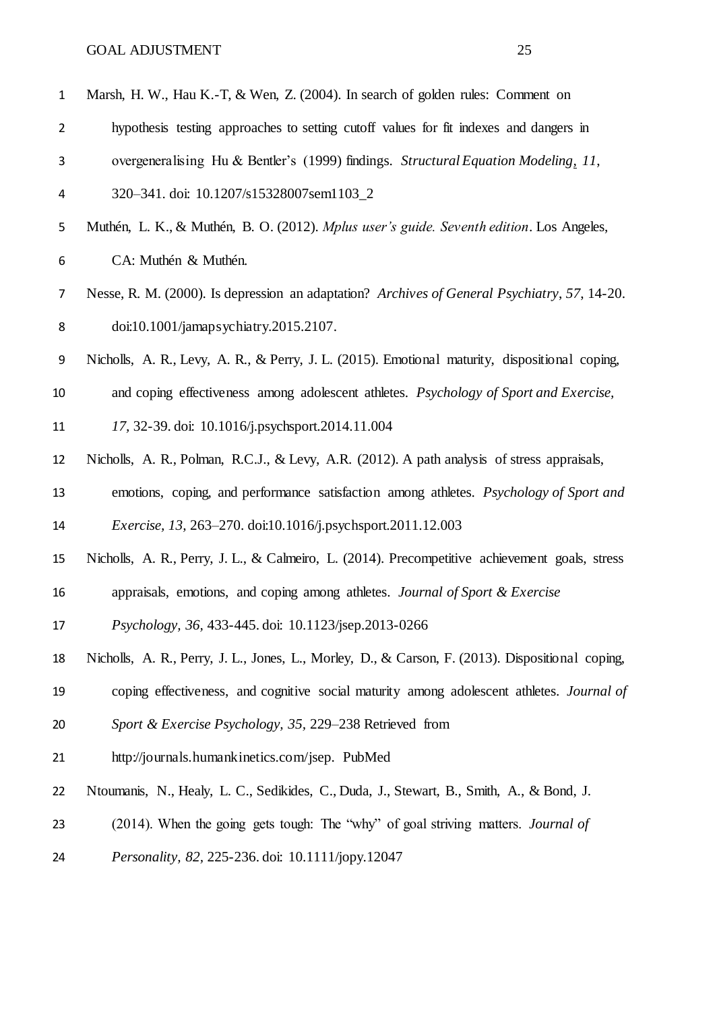| $\mathbf{1}$   | Marsh, H. W., Hau K.-T, & Wen, Z. (2004). In search of golden rules: Comment on                  |
|----------------|--------------------------------------------------------------------------------------------------|
| $\overline{2}$ | hypothesis testing approaches to setting cutoff values for fit indexes and dangers in            |
| 3              | overgeneralising Hu & Bentler's (1999) findings. Structural Equation Modeling, 11,               |
| 4              | 320-341. doi: 10.1207/s15328007sem1103_2                                                         |
| 5              | Muthén, L. K., & Muthén, B. O. (2012). Mplus user's guide. Seventh edition. Los Angeles,         |
| 6              | CA: Muthén & Muthén.                                                                             |
| 7              | Nesse, R. M. (2000). Is depression an adaptation? Archives of General Psychiatry, 57, 14-20.     |
| 8              | doi:10.1001/jamapsychiatry.2015.2107.                                                            |
| 9              | Nicholls, A. R., Levy, A. R., & Perry, J. L. (2015). Emotional maturity, dispositional coping,   |
| 10             | and coping effectiveness among adolescent athletes. Psychology of Sport and Exercise,            |
| 11             | 17, 32-39. doi: 10.1016/j.psychsport.2014.11.004                                                 |
| 12             | Nicholls, A. R., Polman, R.C.J., & Levy, A.R. (2012). A path analysis of stress appraisals,      |
| 13             | emotions, coping, and performance satisfaction among athletes. Psychology of Sport and           |
| 14             | Exercise, 13, 263-270. doi:10.1016/j.psychsport.2011.12.003                                      |
| 15             | Nicholls, A. R., Perry, J. L., & Calmeiro, L. (2014). Precompetitive achievement goals, stress   |
| 16             | appraisals, emotions, and coping among athletes. Journal of Sport & Exercise                     |
| 17             | Psychology, 36, 433-445. doi: 10.1123/jsep.2013-0266                                             |
| 18             | Nicholls, A. R., Perry, J. L., Jones, L., Morley, D., & Carson, F. (2013). Dispositional coping, |
| 19             | coping effectiveness, and cognitive social maturity among adolescent athletes. Journal of        |
| 20             | Sport & Exercise Psychology, 35, 229–238 Retrieved from                                          |
| 21             | http://journals.humankinetics.com/jsep. PubMed                                                   |
| 22             | Ntoumanis, N., Healy, L. C., Sedikides, C., Duda, J., Stewart, B., Smith, A., & Bond, J.         |
| 23             | (2014). When the going gets tough: The "why" of goal striving matters. Journal of                |
| 24             | Personality, 82, 225-236. doi: 10.1111/jopy.12047                                                |
|                |                                                                                                  |
|                |                                                                                                  |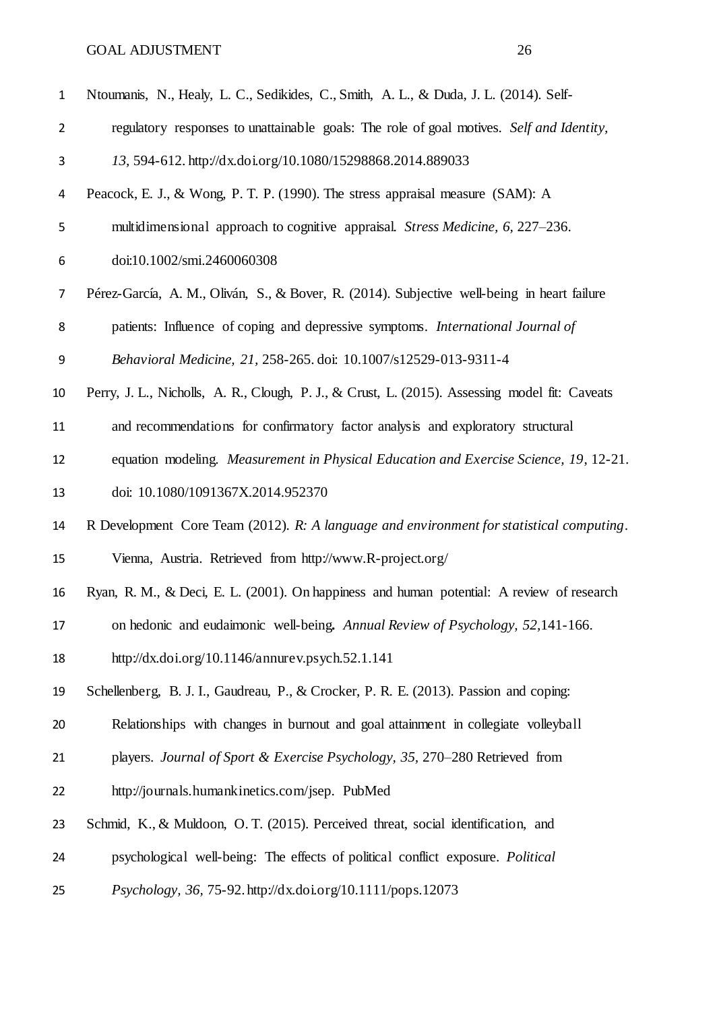| $\mathbf{1}$   | Ntoumanis, N., Healy, L. C., Sedikides, C., Smith, A. L., & Duda, J. L. (2014). Self-          |
|----------------|------------------------------------------------------------------------------------------------|
| $\overline{2}$ | regulatory responses to unattainable goals: The role of goal motives. Self and Identity,       |
| 3              | 13, 594-612. http://dx.doi.org/10.1080/15298868.2014.889033                                    |
| 4              | Peacock, E. J., & Wong, P. T. P. (1990). The stress appraisal measure (SAM): A                 |
| 5              | multidimensional approach to cognitive appraisal. Stress Medicine, 6, 227–236.                 |
| 6              | doi:10.1002/smi.2460060308                                                                     |
| $\overline{7}$ | Pérez-García, A. M., Oliván, S., & Bover, R. (2014). Subjective well-being in heart failure    |
| 8              | patients: Influence of coping and depressive symptoms. International Journal of                |
| 9              | Behavioral Medicine, 21, 258-265. doi: 10.1007/s12529-013-9311-4                               |
| 10             | Perry, J. L., Nicholls, A. R., Clough, P. J., & Crust, L. (2015). Assessing model fit: Caveats |
| 11             | and recommendations for confirmatory factor analysis and exploratory structural                |
| 12             | equation modeling. Measurement in Physical Education and Exercise Science, 19, 12-21.          |
| 13             | doi: 10.1080/1091367X.2014.952370                                                              |
| 14             | R Development Core Team (2012). R: A language and environment for statistical computing.       |
| 15             | Vienna, Austria. Retrieved from http://www.R-project.org/                                      |
| 16             | Ryan, R. M., & Deci, E. L. (2001). On happiness and human potential: A review of research      |
| 17             | on hedonic and eudaimonic well-being. Annual Review of Psychology, 52,141-166.                 |
| 18             | http://dx.doi.org/10.1146/annurev.psych.52.1.141                                               |
| 19             | Schellenberg, B. J. I., Gaudreau, P., & Crocker, P. R. E. (2013). Passion and coping:          |
| 20             | Relationships with changes in burnout and goal attainment in collegiate volleyball             |
| 21             | players. Journal of Sport & Exercise Psychology, 35, 270–280 Retrieved from                    |
| 22             | http://journals.humankinetics.com/jsep. PubMed                                                 |
| 23             | Schmid, K., & Muldoon, O.T. (2015). Perceived threat, social identification, and               |
| 24             | psychological well-being: The effects of political conflict exposure. Political                |
| 25             | Psychology, 36, 75-92. http://dx.doi.org/10.1111/pops.12073                                    |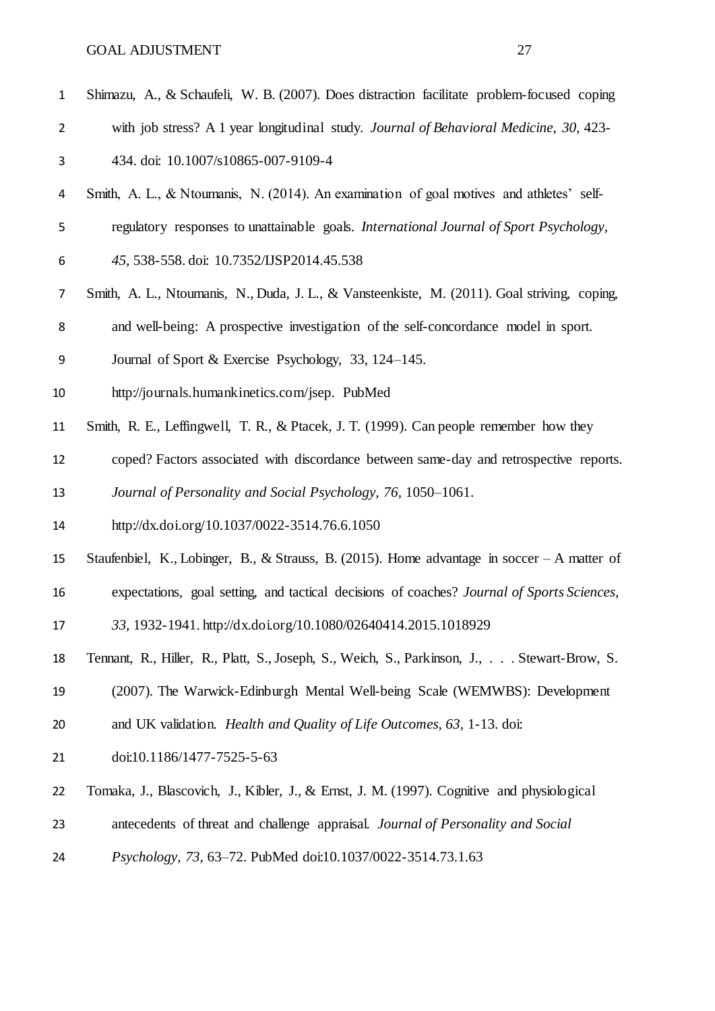Shimazu, A., & Schaufeli, W. B. (2007). Does distraction facilitate problem-focused coping with job stress? A 1 year longitudinal study. *Journal of Behavioral Medicine, 30,* 423- 434. doi: 10.1007/s10865-007-9109-4 Smith, A. L., & Ntoumanis, N. (2014). An examination of goal motives and athletes' self- regulatory responses to unattainable goals. *International Journal of Sport Psychology, 45,* 538-558. doi: 10.7352/IJSP2014.45.538 Smith, A. L., Ntoumanis, N., Duda, J. L., & Vansteenkiste, M. (2011). Goal striving, coping, and well-being: A prospective investigation of the self-concordance model in sport. Journal of Sport & Exercise Psychology, 33, 124–145. http://journals.humankinetics.com/jsep. PubMed Smith, R. E., Leffingwell, T. R., & Ptacek, J. T. (1999). Can people remember how they coped? Factors associated with discordance between same-day and retrospective reports. *Journal of Personality and Social Psychology, 76,* 1050–1061. http://dx.doi.org/10.1037/0022-3514.76.6.1050 Staufenbiel, K., Lobinger, B., & Strauss, B. (2015). Home advantage in soccer – A matter of expectations, goal setting, and tactical decisions of coaches? *Journal of Sports Sciences, 33,* 1932-1941. http://dx.doi.org/10.1080/02640414.2015.1018929 Tennant, R., Hiller, R., Platt, S., Joseph, S., Weich, S., Parkinson, J., . . . Stewart-Brow, S. (2007). The Warwick-Edinburgh Mental Well-being Scale (WEMWBS): Development and UK validation. *Health and Quality of Life Outcomes, 63,* 1-13. doi: doi:10.1186/1477-7525-5-63 Tomaka, J., Blascovich, J., Kibler, J., & Ernst, J. M. (1997). Cognitive and physiological antecedents of threat and challenge appraisal. *Journal of Personality and Social Psychology, 73,* 63–72. PubMed doi:10.1037/0022-3514.73.1.63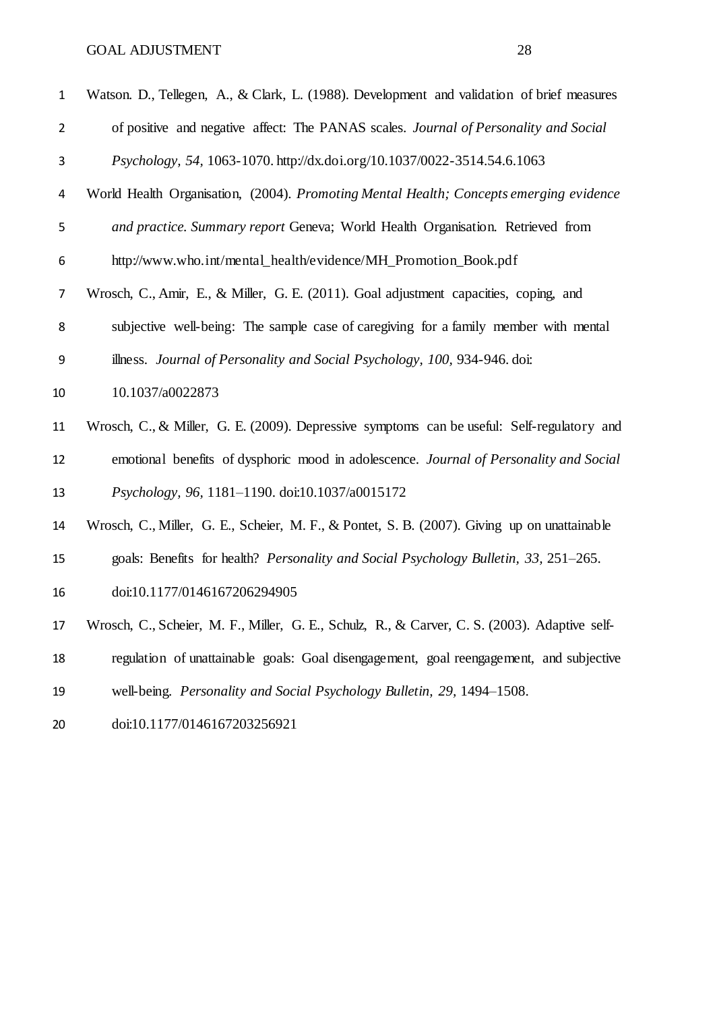| $\mathbf{1}$   | Watson. D., Tellegen, A., & Clark, L. (1988). Development and validation of brief measures    |
|----------------|-----------------------------------------------------------------------------------------------|
| $\overline{2}$ | of positive and negative affect: The PANAS scales. Journal of Personality and Social          |
| 3              | Psychology, 54, 1063-1070. http://dx.doi.org/10.1037/0022-3514.54.6.1063                      |
| 4              | World Health Organisation, (2004). Promoting Mental Health; Concepts emerging evidence        |
| 5              | and practice. Summary report Geneva; World Health Organisation. Retrieved from                |
| 6              | http://www.who.int/mental_health/evidence/MH_Promotion_Book.pdf                               |
| $\overline{7}$ | Wrosch, C., Amir, E., & Miller, G. E. (2011). Goal adjustment capacities, coping, and         |
| 8              | subjective well-being: The sample case of caregiving for a family member with mental          |
| 9              | illness. Journal of Personality and Social Psychology, 100, 934-946. doi:                     |
| 10             | 10.1037/a0022873                                                                              |
| 11             | Wrosch, C., & Miller, G. E. (2009). Depressive symptoms can be useful: Self-regulatory and    |
| 12             | emotional benefits of dysphoric mood in adolescence. Journal of Personality and Social        |
| 13             | Psychology, 96, 1181-1190. doi:10.1037/a0015172                                               |
| 14             | Wrosch, C., Miller, G. E., Scheier, M. F., & Pontet, S. B. (2007). Giving up on unattainable  |
| 15             | goals: Benefits for health? Personality and Social Psychology Bulletin, 33, 251-265.          |
| 16             | doi:10.1177/0146167206294905                                                                  |
| 17             | Wrosch, C., Scheier, M. F., Miller, G. E., Schulz, R., & Carver, C. S. (2003). Adaptive self- |
| 18             | regulation of unattainable goals: Goal disengagement, goal reengagement, and subjective       |
| 19             | well-being. Personality and Social Psychology Bulletin, 29, 1494–1508.                        |
| 20             | doi:10.1177/0146167203256921                                                                  |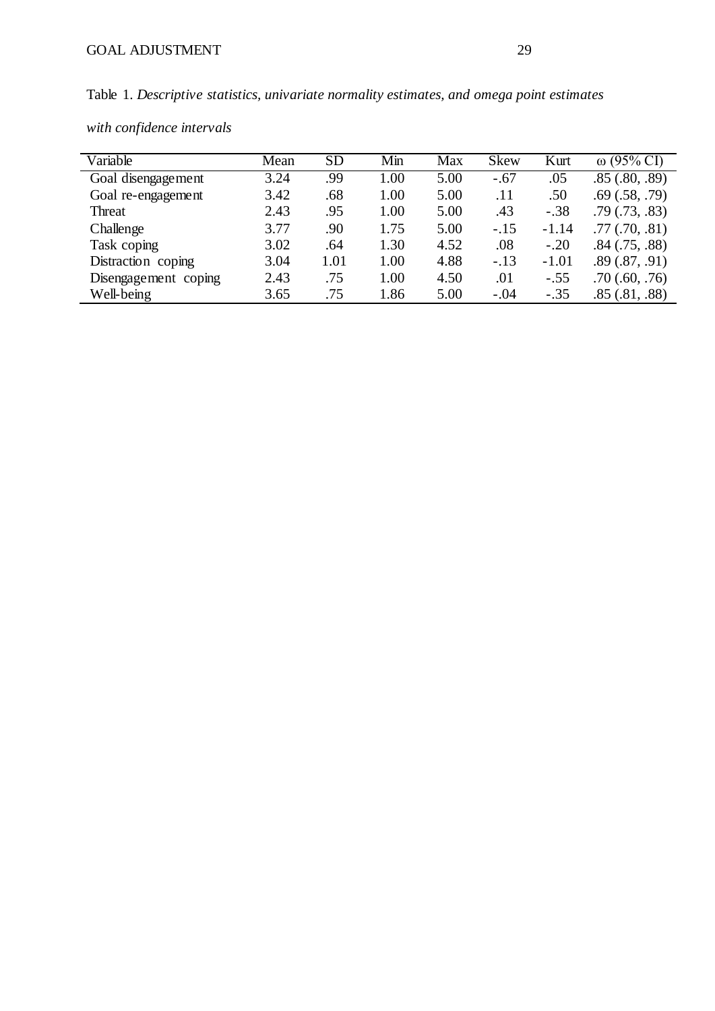Table 1. *Descriptive statistics, univariate normality estimates, and omega point estimates* 

| with confidence intervals |  |
|---------------------------|--|
|                           |  |

| Variable             | Mean | <b>SD</b> | Min  | Max  | <b>Skew</b> | Kurt    | ω (95% CI)         |
|----------------------|------|-----------|------|------|-------------|---------|--------------------|
| Goal disengagement   | 3.24 | .99       | 1.00 | 5.00 | $-.67$      | .05     | .85(.80, .89)      |
| Goal re-engagement   | 3.42 | .68       | 1.00 | 5.00 | .11         | .50     | $.69$ $(.58, .79)$ |
| Threat               | 2.43 | .95       | 1.00 | 5.00 | .43         | $-.38$  | $.79$ $(.73, .83)$ |
| Challenge            | 3.77 | .90       | 1.75 | 5.00 | $-.15$      | $-1.14$ | $.77$ $(.70, .81)$ |
| Task coping          | 3.02 | .64       | 1.30 | 4.52 | .08         | $-.20$  | $.84$ $(.75, .88)$ |
| Distraction coping   | 3.04 | 1.01      | 1.00 | 4.88 | $-.13$      | $-1.01$ | .89(0.87, .91)     |
| Disengagement coping | 2.43 | .75       | 1.00 | 4.50 | .01         | $-.55$  | $.70$ $(.60, .76)$ |
| Well-being           | 3.65 | .75       | 1.86 | 5.00 | $-.04$      | $-.35$  | .85(.81, .88)      |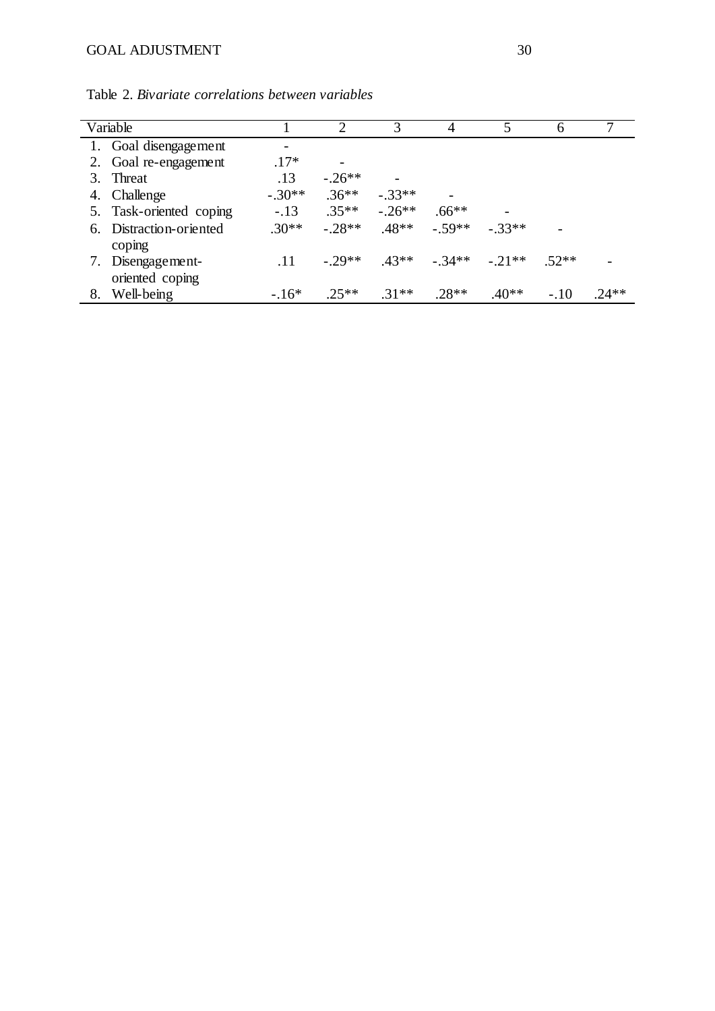| Variable |                         |          |          | 3        |                           | 5       | 6      |         |
|----------|-------------------------|----------|----------|----------|---------------------------|---------|--------|---------|
|          | 1. Goal disengagement   |          |          |          |                           |         |        |         |
|          | 2. Goal re-engagement   | $.17*$   |          |          |                           |         |        |         |
| 3.       | Threat                  | .13      | $-.26**$ |          |                           |         |        |         |
|          | 4. Challenge            | $-.30**$ | $.36**$  | $-.33**$ |                           |         |        |         |
|          | 5. Task-oriented coping | $-.13$   | $.35**$  | $-.26**$ | $.66**$                   |         |        |         |
|          | 6. Distraction-oriented | $.30**$  | $-.28**$ | $.48**$  | $-.59**$                  | $-33**$ |        |         |
|          | coping                  |          |          |          |                           |         |        |         |
| 7.       | Disengagement-          | .11      | $-29**$  |          | $.43**$ $-.34**$ $-.21**$ |         | $52**$ |         |
|          | oriented coping         |          |          |          |                           |         |        |         |
| 8.       | Well-being              | $-.16*$  | $25**$   | $31**$   | $.28**$                   | .40**   | $-.10$ | $.24**$ |

Table 2. *Bivariate correlations between variables*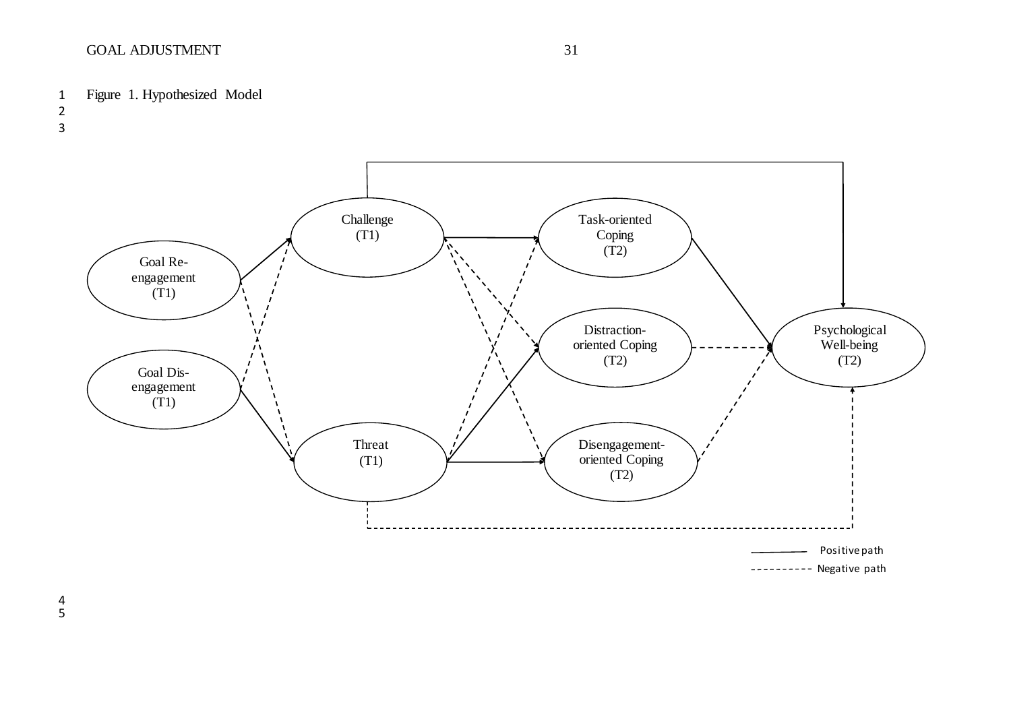# 1 Figure 1. Hypothesized Model

2 3



---- Negative path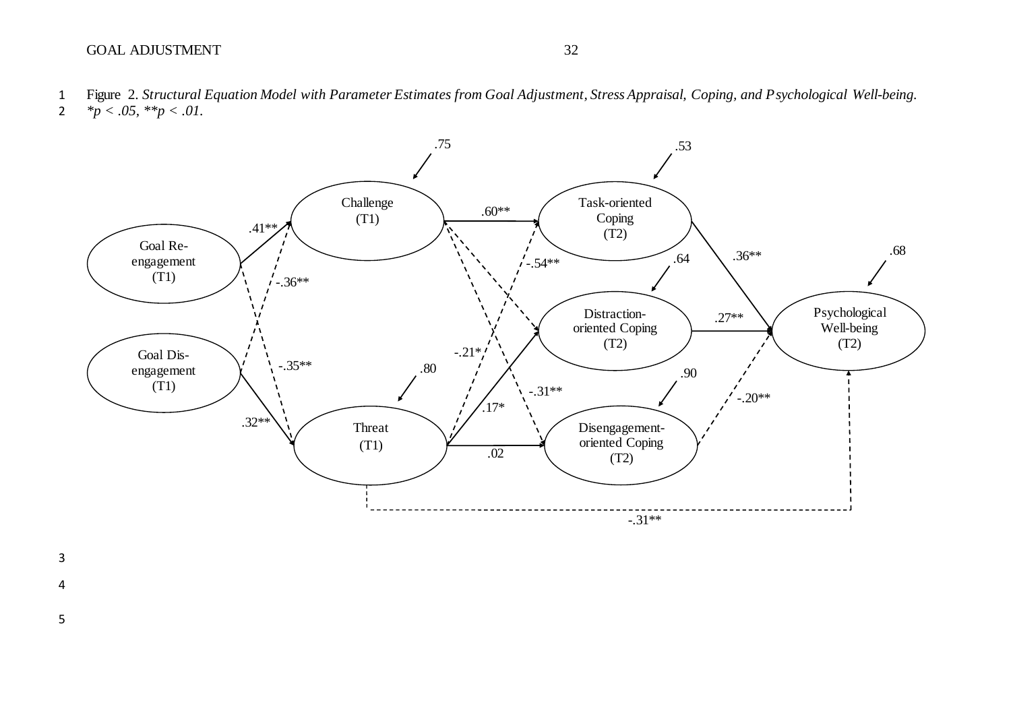- 1 Figure 2. *Structural Equation Model with Parameter Estimates from Goal Adjustment, Stress Appraisal, Coping, and Psychological Well-being.*
- $*_{p}$  < .05,  $*_{p}$  < .01.



3 4

5